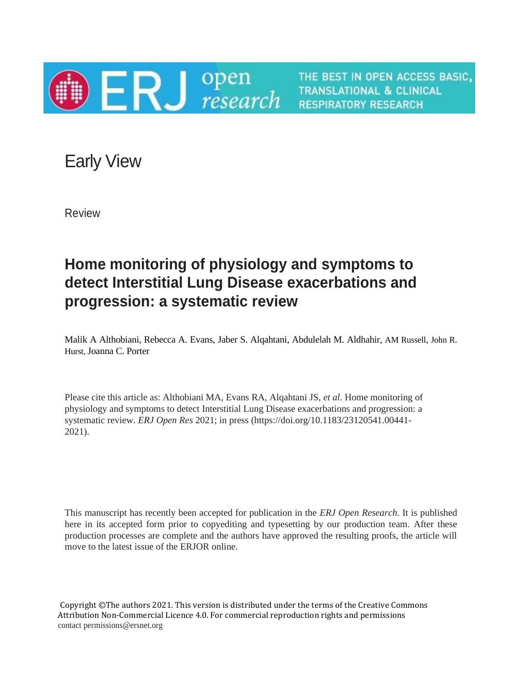

THE BEST IN OPEN ACCESS BASIC, **TRANSLATIONAL & CLINICAL RESPIRATORY RESEARCH** 

Early View

Review

# **Home monitoring of physiology and symptoms to detect Interstitial Lung Disease exacerbations and progression: a systematic review**

Malik A Althobiani, Rebecca A. Evans, Jaber S. Alqahtani, Abdulelah M. Aldhahir, AM Russell, John R. Hurst, Joanna C. Porter

Please cite this article as: Althobiani MA, Evans RA, Alqahtani JS, *et al*. Home monitoring of physiology and symptoms to detect Interstitial Lung Disease exacerbations and progression: a systematic review. *ERJ Open Res* 2021; in press (https://doi.org/10.1183/23120541.00441- 2021).

This manuscript has recently been accepted for publication in the *ERJ Open Research*. It is published here in its accepted form prior to copyediting and typesetting by our production team. After these production processes are complete and the authors have approved the resulting proofs, the article will move to the latest issue of the ERJOR online.

Copyright ©The authors 2021. This version is distributed under the terms of the Creative Commons Attribution Non-Commercial Licence 4.0. For commercial reproduction rights and permissions contact permissions@ersnet.org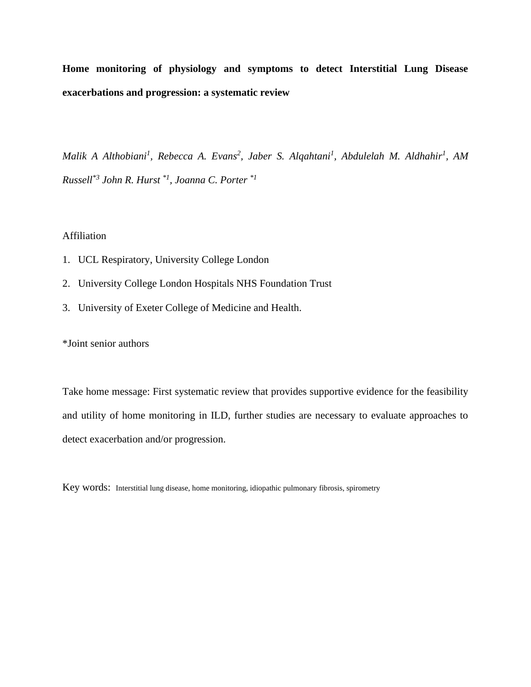**Home monitoring of physiology and symptoms to detect Interstitial Lung Disease exacerbations and progression: a systematic review**

*Malik A Althobiani<sup>1</sup>, Rebecca A. Evans<sup>2</sup>, Jaber S. Alqahtani<sup>1</sup>, Abdulelah M. Aldhahir<sup>1</sup>, AM Russell\*3 John R. Hurst \*1, Joanna C. Porter \*1*

#### Affiliation

- 1. UCL Respiratory, University College London
- 2. University College London Hospitals NHS Foundation Trust
- 3. University of Exeter College of Medicine and Health.

\*Joint senior authors

Take home message: First systematic review that provides supportive evidence for the feasibility and utility of home monitoring in ILD, further studies are necessary to evaluate approaches to detect exacerbation and/or progression.

Key words: Interstitial lung disease, home monitoring, idiopathic pulmonary fibrosis, spirometry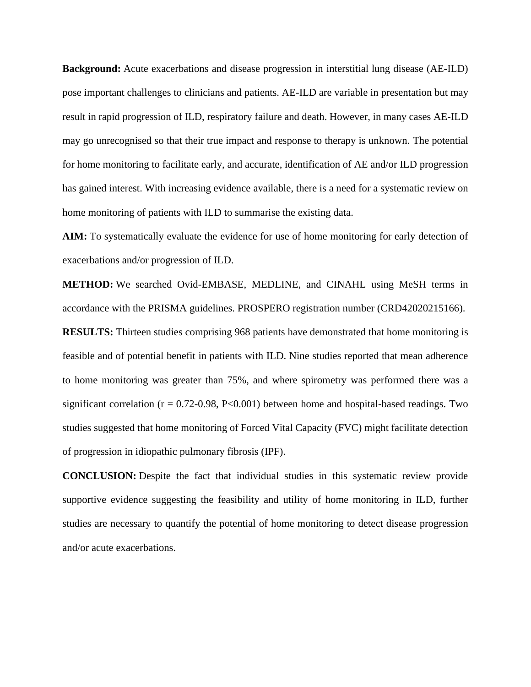**Background:** Acute exacerbations and disease progression in interstitial lung disease (AE-ILD) pose important challenges to clinicians and patients. AE-ILD are variable in presentation but may result in rapid progression of ILD, respiratory failure and death. However, in many cases AE-ILD may go unrecognised so that their true impact and response to therapy is unknown. The potential for home monitoring to facilitate early, and accurate, identification of AE and/or ILD progression has gained interest. With increasing evidence available, there is a need for a systematic review on home monitoring of patients with ILD to summarise the existing data.

**AIM:** To systematically evaluate the evidence for use of home monitoring for early detection of exacerbations and/or progression of ILD.

**METHOD:** We searched Ovid-EMBASE, MEDLINE, and CINAHL using MeSH terms in accordance with the PRISMA guidelines. PROSPERO registration number (CRD42020215166).

**RESULTS:** Thirteen studies comprising 968 patients have demonstrated that home monitoring is feasible and of potential benefit in patients with ILD. Nine studies reported that mean adherence to home monitoring was greater than 75%, and where spirometry was performed there was a significant correlation ( $r = 0.72$ -0.98, P<0.001) between home and hospital-based readings. Two studies suggested that home monitoring of Forced Vital Capacity (FVC) might facilitate detection of progression in idiopathic pulmonary fibrosis (IPF).

**CONCLUSION:** Despite the fact that individual studies in this systematic review provide supportive evidence suggesting the feasibility and utility of home monitoring in ILD, further studies are necessary to quantify the potential of home monitoring to detect disease progression and/or acute exacerbations.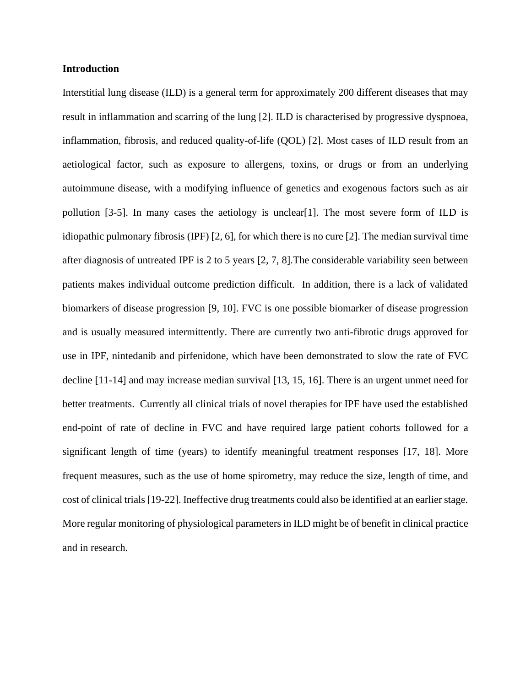#### **Introduction**

Interstitial lung disease (ILD) is a general term for approximately 200 different diseases that may result in inflammation and scarring of the lung [2]. ILD is characterised by progressive dyspnoea, inflammation, fibrosis, and reduced quality-of-life (QOL) [2]. Most cases of ILD result from an aetiological factor, such as exposure to allergens, toxins, or drugs or from an underlying autoimmune disease, with a modifying influence of genetics and exogenous factors such as air pollution [3-5]. In many cases the aetiology is unclear[1]. The most severe form of ILD is idiopathic pulmonary fibrosis (IPF)  $[2, 6]$ , for which there is no cure  $[2]$ . The median survival time after diagnosis of untreated IPF is 2 to 5 years [2, 7, 8].The considerable variability seen between patients makes individual outcome prediction difficult. In addition, there is a lack of validated biomarkers of disease progression [9, 10]. FVC is one possible biomarker of disease progression and is usually measured intermittently. There are currently two anti-fibrotic drugs approved for use in IPF, nintedanib and pirfenidone, which have been demonstrated to slow the rate of FVC decline [11-14] and may increase median survival [13, 15, 16]. There is an urgent unmet need for better treatments. Currently all clinical trials of novel therapies for IPF have used the established end-point of rate of decline in FVC and have required large patient cohorts followed for a significant length of time (years) to identify meaningful treatment responses [17, 18]. More frequent measures, such as the use of home spirometry, may reduce the size, length of time, and cost of clinical trials[19-22]. Ineffective drug treatments could also be identified at an earlier stage. More regular monitoring of physiological parameters in ILD might be of benefit in clinical practice and in research.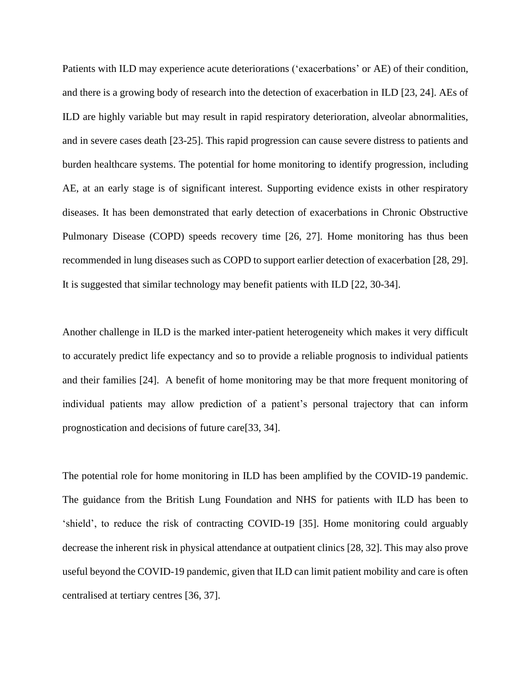Patients with ILD may experience acute deteriorations ('exacerbations' or AE) of their condition, and there is a growing body of research into the detection of exacerbation in ILD [23, 24]. AEs of ILD are highly variable but may result in rapid respiratory deterioration, alveolar abnormalities, and in severe cases death [23-25]. This rapid progression can cause severe distress to patients and burden healthcare systems. The potential for home monitoring to identify progression, including AE, at an early stage is of significant interest. Supporting evidence exists in other respiratory diseases. It has been demonstrated that early detection of exacerbations in Chronic Obstructive Pulmonary Disease (COPD) speeds recovery time [26, 27]. Home monitoring has thus been recommended in lung diseases such as COPD to support earlier detection of exacerbation [28, 29]. It is suggested that similar technology may benefit patients with ILD [22, 30-34].

Another challenge in ILD is the marked inter-patient heterogeneity which makes it very difficult to accurately predict life expectancy and so to provide a reliable prognosis to individual patients and their families [24]. A benefit of home monitoring may be that more frequent monitoring of individual patients may allow prediction of a patient's personal trajectory that can inform prognostication and decisions of future care[33, 34].

The potential role for home monitoring in ILD has been amplified by the COVID-19 pandemic. The guidance from the British Lung Foundation and NHS for patients with ILD has been to 'shield', to reduce the risk of contracting COVID-19 [35]. Home monitoring could arguably decrease the inherent risk in physical attendance at outpatient clinics [28, 32]. This may also prove useful beyond the COVID-19 pandemic, given that ILD can limit patient mobility and care is often centralised at tertiary centres [36, 37].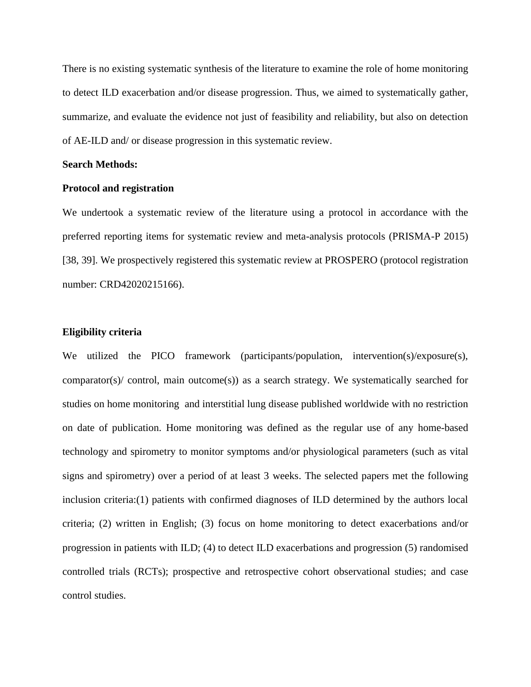There is no existing systematic synthesis of the literature to examine the role of home monitoring to detect ILD exacerbation and/or disease progression. Thus, we aimed to systematically gather, summarize, and evaluate the evidence not just of feasibility and reliability, but also on detection of AE-ILD and/ or disease progression in this systematic review.

#### **Search Methods:**

#### **Protocol and registration**

We undertook a systematic review of the literature using a protocol in accordance with the preferred reporting items for systematic review and meta-analysis protocols (PRISMA-P 2015) [38, 39]. We prospectively registered this systematic review at PROSPERO (protocol registration number: CRD42020215166).

#### **Eligibility criteria**

We utilized the PICO framework (participants/population, intervention(s)/exposure(s), comparator(s)/ control, main outcome(s)) as a search strategy. We systematically searched for studies on home monitoring and interstitial lung disease published worldwide with no restriction on date of publication. Home monitoring was defined as the regular use of any home-based technology and spirometry to monitor symptoms and/or physiological parameters (such as vital signs and spirometry) over a period of at least 3 weeks. The selected papers met the following inclusion criteria:(1) patients with confirmed diagnoses of ILD determined by the authors local criteria; (2) written in English; (3) focus on home monitoring to detect exacerbations and/or progression in patients with ILD; (4) to detect ILD exacerbations and progression (5) randomised controlled trials (RCTs); prospective and retrospective cohort observational studies; and case control studies.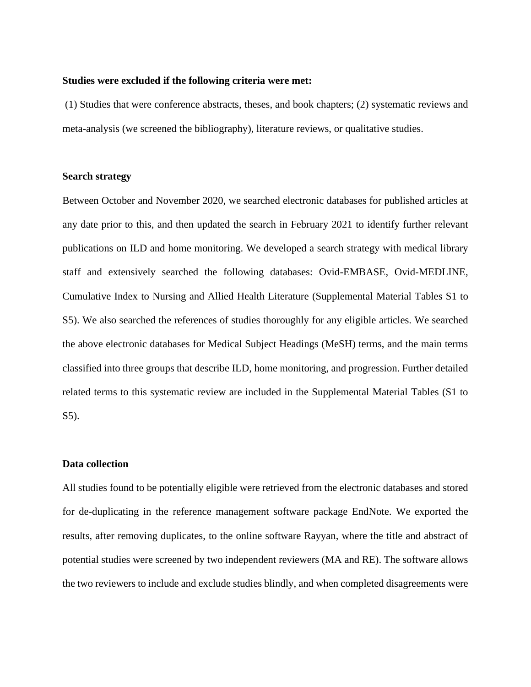#### **Studies were excluded if the following criteria were met:**

(1) Studies that were conference abstracts, theses, and book chapters; (2) systematic reviews and meta-analysis (we screened the bibliography), literature reviews, or qualitative studies.

#### **Search strategy**

Between October and November 2020, we searched electronic databases for published articles at any date prior to this, and then updated the search in February 2021 to identify further relevant publications on ILD and home monitoring. We developed a search strategy with medical library staff and extensively searched the following databases: Ovid-EMBASE, Ovid-MEDLINE, Cumulative Index to Nursing and Allied Health Literature (Supplemental Material Tables S1 to S5). We also searched the references of studies thoroughly for any eligible articles. We searched the above electronic databases for Medical Subject Headings (MeSH) terms, and the main terms classified into three groups that describe ILD, home monitoring, and progression. Further detailed related terms to this systematic review are included in the Supplemental Material Tables (S1 to S5).

#### **Data collection**

All studies found to be potentially eligible were retrieved from the electronic databases and stored for de-duplicating in the reference management software package EndNote. We exported the results, after removing duplicates, to the online software Rayyan, where the title and abstract of potential studies were screened by two independent reviewers (MA and RE). The software allows the two reviewers to include and exclude studies blindly, and when completed disagreements were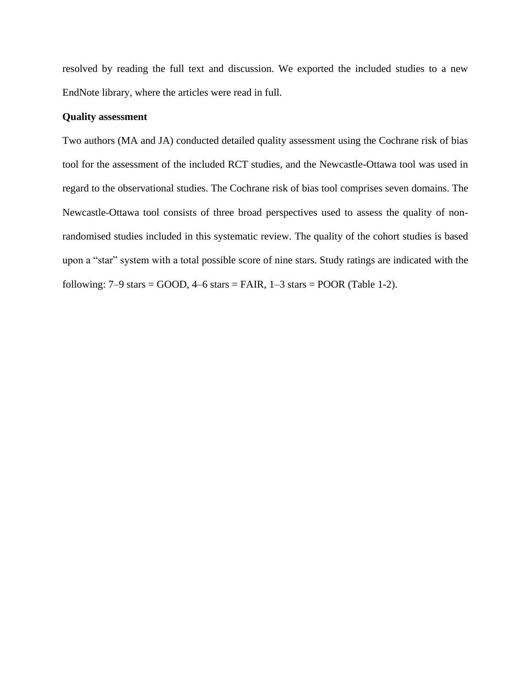resolved by reading the full text and discussion. We exported the included studies to a new EndNote library, where the articles were read in full.

#### **Quality assessment**

Two authors (MA and JA) conducted detailed quality assessment using the Cochrane risk of bias tool for the assessment of the included RCT studies, and the Newcastle-Ottawa tool was used in regard to the observational studies. The Cochrane risk of bias tool comprises seven domains. The Newcastle-Ottawa tool consists of three broad perspectives used to assess the quality of nonrandomised studies included in this systematic review. The quality of the cohort studies is based upon a "star" system with a total possible score of nine stars. Study ratings are indicated with the following:  $7-9$  stars = GOOD,  $4-6$  stars = FAIR,  $1-3$  stars = POOR (Table 1-2).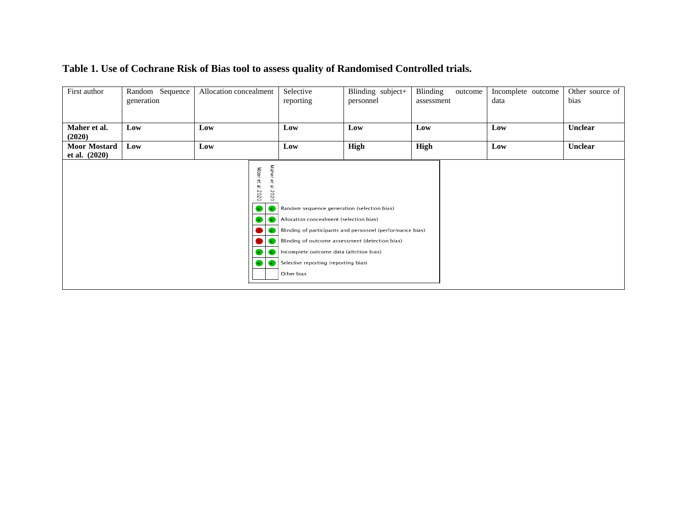| First author                           | Random Sequence<br>generation | Allocation concealment |                                                                                            | Selective<br>reporting                                                                                                                                                                                                                      | Blinding subject+<br>personnel                            | Blinding<br>outcome<br>assessment | Incomplete outcome<br>data | Other source of<br>bias |
|----------------------------------------|-------------------------------|------------------------|--------------------------------------------------------------------------------------------|---------------------------------------------------------------------------------------------------------------------------------------------------------------------------------------------------------------------------------------------|-----------------------------------------------------------|-----------------------------------|----------------------------|-------------------------|
| Maher et al.<br>(2020)                 | Low                           | Low                    |                                                                                            | Low                                                                                                                                                                                                                                         | Low                                                       | Low                               | Low                        | <b>Unclear</b>          |
| <b>Moor Mostard</b><br>et al. $(2020)$ | Low                           | Low                    |                                                                                            | Low                                                                                                                                                                                                                                         | High                                                      | High                              | Low                        | <b>Unclear</b>          |
|                                        |                               |                        | Maher<br>Moor et al<br>$\mathbb{P}$<br>al 2020<br>2020<br>$_{\pm}$<br>Ð<br>$_{+}$<br>$\pm$ | Random sequence generation (selection bias)<br>Allocation concealment (selection bias)<br>Blinding of outcome assessment (detection bias)<br>Incomplete outcome data (attrition bias)<br>Selective reporting (reporting bias)<br>Other bias | Blinding of participants and personnel (performance bias) |                                   |                            |                         |

## **Table 1. Use of Cochrane Risk of Bias tool to assess quality of Randomised Controlled trials.**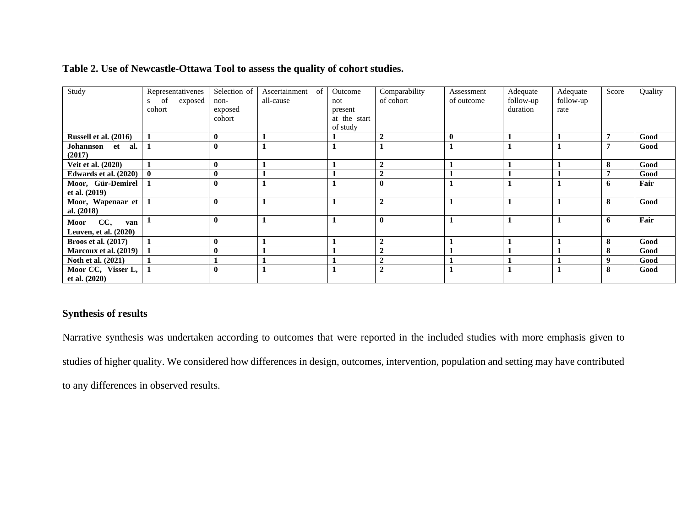| Study                                    | Representativenes<br>exposed<br>of<br>cohort | Selection of<br>non-<br>exposed<br>cohort | Ascertainment<br><sub>of</sub><br>all-cause | Outcome<br>not<br>present<br>at the start<br>of study | Comparability<br>of cohort | Assessment<br>of outcome | Adequate<br>follow-up<br>duration | Adequate<br>follow-up<br>rate | Score | Quality |
|------------------------------------------|----------------------------------------------|-------------------------------------------|---------------------------------------------|-------------------------------------------------------|----------------------------|--------------------------|-----------------------------------|-------------------------------|-------|---------|
| Russell et al. (2016)                    |                                              | $\bf{0}$                                  |                                             |                                                       | $\overline{2}$             | $\bf{0}$                 |                                   |                               | -     | Good    |
| Johannson et al.<br>(2017)               |                                              | $\mathbf{0}$                              |                                             |                                                       |                            |                          |                                   |                               | -     | Good    |
| <b>Veit et al.</b> (2020)                |                                              | $\bf{0}$                                  |                                             |                                                       | $\overline{2}$             |                          |                                   |                               | 8     | Good    |
| Edwards et al. $(2020)$ 0                |                                              | $\mathbf{0}$                              |                                             |                                                       | $\overline{2}$             |                          |                                   |                               | -     | Good    |
| Moor, Gür-Demirel   1<br>et al. (2019)   |                                              | $\mathbf{0}$                              |                                             |                                                       | $\mathbf{0}$               |                          |                                   |                               | 6     | Fair    |
| Moor, Wapenaar et   1<br>al. $(2018)$    |                                              | $\mathbf{0}$                              |                                             |                                                       | $\overline{2}$             |                          |                                   |                               | 8     | Good    |
| Moor CC,<br>van<br>Leuven, et al. (2020) |                                              | $\mathbf{0}$                              |                                             |                                                       | $\bf{0}$                   |                          |                                   |                               | 6     | Fair    |
| <b>Broos et al.</b> (2017)               |                                              | $\mathbf{0}$                              |                                             |                                                       | $\overline{2}$             |                          |                                   |                               | 8     | Good    |
| Marcoux et al. (2019)                    |                                              |                                           |                                             |                                                       | $\overline{2}$             |                          |                                   |                               | 8     | Good    |
| Noth et al. (2021)                       |                                              |                                           |                                             |                                                       | $\overline{2}$             |                          |                                   |                               | 9     | Good    |
| Moor CC, Visser L,<br>et al. $(2020)$    |                                              | $\mathbf{0}$                              |                                             |                                                       | $\overline{2}$             |                          |                                   |                               | 8     | Good    |

## **Table 2. Use of Newcastle-Ottawa Tool to assess the quality of cohort studies.**

## **Synthesis of results**

Narrative synthesis was undertaken according to outcomes that were reported in the included studies with more emphasis given to studies of higher quality. We considered how differences in design, outcomes, intervention, population and setting may have contributed to any differences in observed results.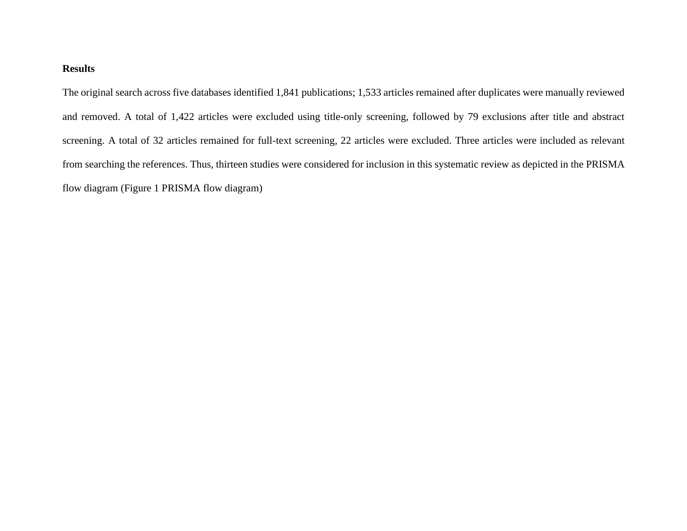## **Results**

The original search across five databases identified 1,841 publications; 1,533 articles remained after duplicates were manually reviewed and removed. A total of 1,422 articles were excluded using title-only screening, followed by 79 exclusions after title and abstract screening. A total of 32 articles remained for full-text screening, 22 articles were excluded. Three articles were included as relevant from searching the references. Thus, thirteen studies were considered for inclusion in this systematic review as depicted in the PRISMA flow diagram (Figure 1 PRISMA flow diagram)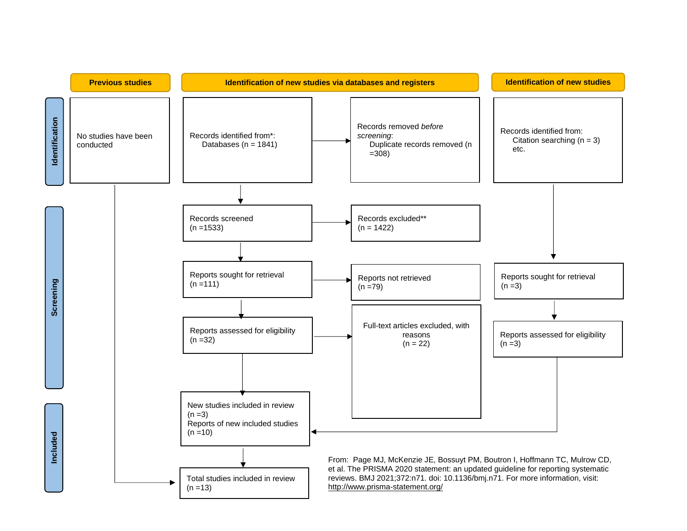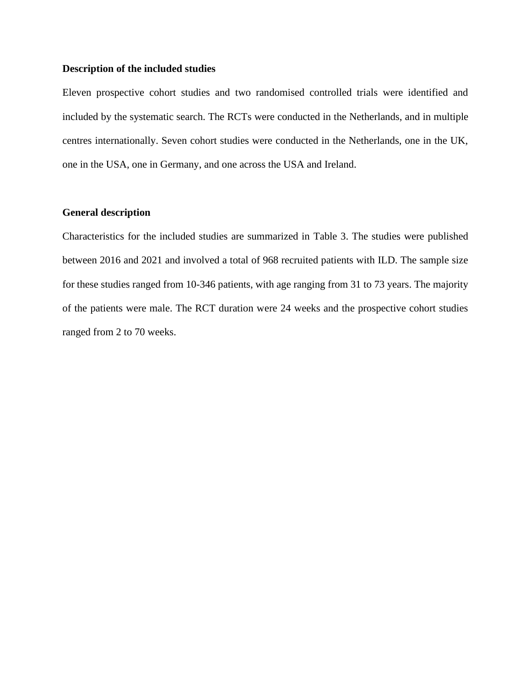#### **Description of the included studies**

Eleven prospective cohort studies and two randomised controlled trials were identified and included by the systematic search. The RCTs were conducted in the Netherlands, and in multiple centres internationally. Seven cohort studies were conducted in the Netherlands, one in the UK, one in the USA, one in Germany, and one across the USA and Ireland.

#### **General description**

Characteristics for the included studies are summarized in Table 3. The studies were published between 2016 and 2021 and involved a total of 968 recruited patients with ILD. The sample size for these studies ranged from 10-346 patients, with age ranging from 31 to 73 years. The majority of the patients were male. The RCT duration were 24 weeks and the prospective cohort studies ranged from 2 to 70 weeks.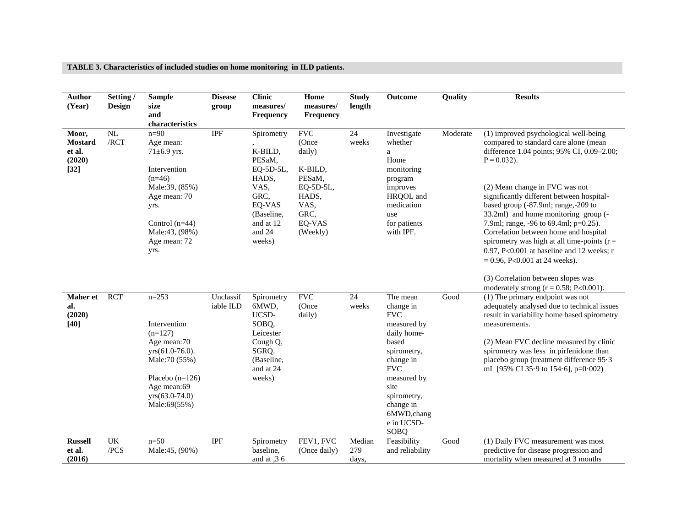#### **TABLE 3. Characteristics of included studies on home monitoring in ILD patients.**

| <b>Author</b><br>(Year)                               | Setting /<br><b>Design</b>     | <b>Sample</b><br>size<br>and<br>characteristics                                                                                                                              | <b>Disease</b><br>group | <b>Clinic</b><br>measures/<br><b>Frequency</b>                                                                                 | Home<br>measures/<br>Frequency                                                                                           | <b>Study</b><br>length   | Outcome                                                                                                                                                                                                             | Quality  | <b>Results</b>                                                                                                                                                                                                                                                                                                                                                                                                                                                                                                                                                          |
|-------------------------------------------------------|--------------------------------|------------------------------------------------------------------------------------------------------------------------------------------------------------------------------|-------------------------|--------------------------------------------------------------------------------------------------------------------------------|--------------------------------------------------------------------------------------------------------------------------|--------------------------|---------------------------------------------------------------------------------------------------------------------------------------------------------------------------------------------------------------------|----------|-------------------------------------------------------------------------------------------------------------------------------------------------------------------------------------------------------------------------------------------------------------------------------------------------------------------------------------------------------------------------------------------------------------------------------------------------------------------------------------------------------------------------------------------------------------------------|
| Moor,<br><b>Mostard</b><br>et al.<br>(2020)<br>$[32]$ | $\overline{\text{NL}}$<br>/RCT | $n=90$<br>Age mean:<br>$71 \pm 6.9$ yrs.<br>Intervention<br>$(n=46)$<br>Male:39, (85%)<br>Age mean: 70<br>yrs.<br>Control $(n=44)$<br>Male:43, (98%)<br>Age mean: 72<br>yrs. | <b>IPF</b>              | Spirometry<br>K-BILD,<br>PESaM,<br>EQ-5D-5L,<br>HADS,<br>VAS,<br>GRC,<br>EQ-VAS<br>(Baseline,<br>and at 12<br>and 24<br>weeks) | $\operatorname{FVC}$<br>(Once<br>daily)<br>K-BILD,<br>PESaM.<br>EQ-5D-5L,<br>HADS,<br>VAS,<br>GRC,<br>EQ-VAS<br>(Weekly) | $\overline{24}$<br>weeks | Investigate<br>whether<br>a<br>Home<br>monitoring<br>program<br>improves<br>HRQOL and<br>medication<br>use<br>for patients<br>with IPF.                                                                             | Moderate | (1) improved psychological well-being<br>compared to standard care alone (mean<br>difference 1.04 points; 95% CI, 0.09-2.00;<br>$P = 0.032$ ).<br>(2) Mean change in FVC was not<br>significantly different between hospital-<br>based group (-87.9ml; range,-209 to<br>33.2ml) and home monitoring group (-<br>7.9ml; range, -96 to 69.4ml; p=0.25).<br>Correlation between home and hospital<br>spirometry was high at all time-points ( $r =$<br>0.97, P<0.001 at baseline and 12 weeks; r<br>$= 0.96$ , P<0.001 at 24 weeks).<br>(3) Correlation between slopes was |
| Maher et<br>al.<br>(2020)<br>$[40]$                   | <b>RCT</b>                     | $n = 253$<br>Intervention<br>$(n=127)$<br>Age mean:70<br>$yrs(61.0-76.0)$ .<br>Male: 70 (55%)<br>Placebo $(n=126)$<br>Age mean:69<br>$yrs(63.0-74.0)$<br>Male:69(55%)        | Unclassif<br>iable ILD  | Spirometry<br>6MWD,<br>UCSD-<br>SOBQ,<br>Leicester<br>Cough Q,<br>SGRQ.<br>(Baseline,<br>and at 24<br>weeks)                   | $\operatorname{FVC}$<br>(Once<br>daily)                                                                                  | 24<br>weeks              | The mean<br>change in<br><b>FVC</b><br>measured by<br>daily home-<br>based<br>spirometry,<br>change in<br><b>FVC</b><br>measured by<br>site<br>spirometry,<br>change in<br>6MWD, chang<br>e in UCSD-<br><b>SOBQ</b> | Good     | moderately strong $(r = 0.58; P<0.001)$ .<br>(1) The primary endpoint was not<br>adequately analysed due to technical issues<br>result in variability home based spirometry<br>measurements.<br>(2) Mean FVC decline measured by clinic<br>spirometry was less in pirfenidone than<br>placebo group (treatment difference 95.3<br>mL [95% CI 35.9 to 154.6], p=0.002)                                                                                                                                                                                                   |
| <b>Russell</b><br>et al.<br>(2016)                    | UK<br>/PCS                     | $n=50$<br>Male:45, (90%)                                                                                                                                                     | IPF                     | Spirometry<br>baseline,<br>and at $,36$                                                                                        | FEV1, FVC<br>(Once daily)                                                                                                | Median<br>279<br>days,   | Feasibility<br>and reliability                                                                                                                                                                                      | Good     | (1) Daily FVC measurement was most<br>predictive for disease progression and<br>mortality when measured at 3 months                                                                                                                                                                                                                                                                                                                                                                                                                                                     |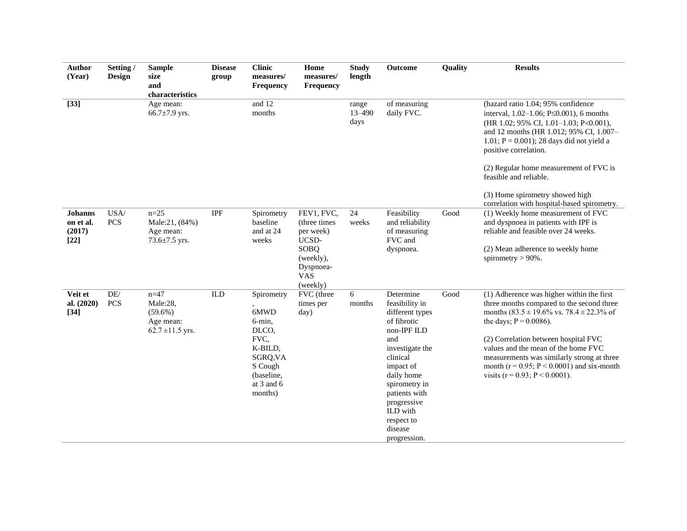| <b>Author</b><br>(Year)                         | Setting/<br>Design           | <b>Sample</b><br>size<br>and<br>characteristics                         | <b>Disease</b><br>group | <b>Clinic</b><br>measures/<br>Frequency                                                                                    | Home<br>measures/<br>Frequency                                                                                | <b>Study</b><br>length      | Outcome                                                                                                                                                                                                                                             | Quality | <b>Results</b>                                                                                                                                                                                                                                                                                                                                                                                                       |
|-------------------------------------------------|------------------------------|-------------------------------------------------------------------------|-------------------------|----------------------------------------------------------------------------------------------------------------------------|---------------------------------------------------------------------------------------------------------------|-----------------------------|-----------------------------------------------------------------------------------------------------------------------------------------------------------------------------------------------------------------------------------------------------|---------|----------------------------------------------------------------------------------------------------------------------------------------------------------------------------------------------------------------------------------------------------------------------------------------------------------------------------------------------------------------------------------------------------------------------|
| $[33]$                                          |                              | Age mean:<br>66.7 $\pm$ 7.9 yrs.                                        |                         | and 12<br>months                                                                                                           |                                                                                                               | range<br>$13 - 490$<br>days | of measuring<br>daily FVC.                                                                                                                                                                                                                          |         | (hazard ratio 1.04; 95% confidence<br>interval, $1.02-1.06$ ; P $\leq 0.001$ ), 6 months<br>(HR 1.02; 95% CI, 1.01-1.03; P<0.001),<br>and 12 months (HR 1.012; 95% CI, 1.007-<br>1.01; $P = 0.001$ ); 28 days did not yield a<br>positive correlation.<br>(2) Regular home measurement of FVC is<br>feasible and reliable.<br>(3) Home spirometry showed high<br>correlation with hospital-based spirometry.         |
| <b>Johanns</b><br>on et al.<br>(2017)<br>$[22]$ | USA/<br><b>PCS</b>           | $n = 25$<br>Male:21, (84%)<br>Age mean:<br>73.6 $\pm$ 7.5 yrs.          | IPF                     | Spirometry<br>baseline<br>and at 24<br>weeks                                                                               | FEV1, FVC,<br>(three times)<br>per week)<br>UCSD-<br>SOBQ<br>(weekly),<br>Dyspnoea-<br><b>VAS</b><br>(weekly) | 24<br>weeks                 | Feasibility<br>and reliability<br>of measuring<br>FVC and<br>dyspnoea.                                                                                                                                                                              | Good    | (1) Weekly home measurement of FVC<br>and dyspnoea in patients with IPF is<br>reliable and feasible over 24 weeks.<br>(2) Mean adherence to weekly home<br>spirometry $> 90\%$ .                                                                                                                                                                                                                                     |
| Veit et<br>al. (2020)<br>$[34]$                 | $\mathrm{DE}/$<br><b>PCS</b> | $n = 47$<br>Male:28.<br>$(59.6\%)$<br>Age mean:<br>$62.7 \pm 11.5$ yrs. | <b>ILD</b>              | Spirometry<br>6MWD<br>6-min,<br>DLCO,<br>FVC,<br>K-BILD,<br>SGRQ, VA<br>S Cough<br>(baseline,<br>at $3$ and $6$<br>months) | FVC (three<br>times per<br>day)                                                                               | 6<br>months                 | Determine<br>feasibility in<br>different types<br>of fibrotic<br>non-IPF ILD<br>and<br>investigate the<br>clinical<br>impact of<br>daily home<br>spirometry in<br>patients with<br>progressive<br>ILD with<br>respect to<br>disease<br>progression. | Good    | (1) Adherence was higher within the first<br>three months compared to the second three<br>months $(83.5 \pm 19.6\% \text{ vs. } 78.4 \pm 22.3\% \text{ of }$<br>the days; $P = 0.0086$ ).<br>(2) Correlation between hospital FVC<br>values and the mean of the home FVC<br>measurements was similarly strong at three<br>month ( $r = 0.95$ ; $P < 0.0001$ ) and six-month<br>visits ( $r = 0.93$ ; $P < 0.0001$ ). |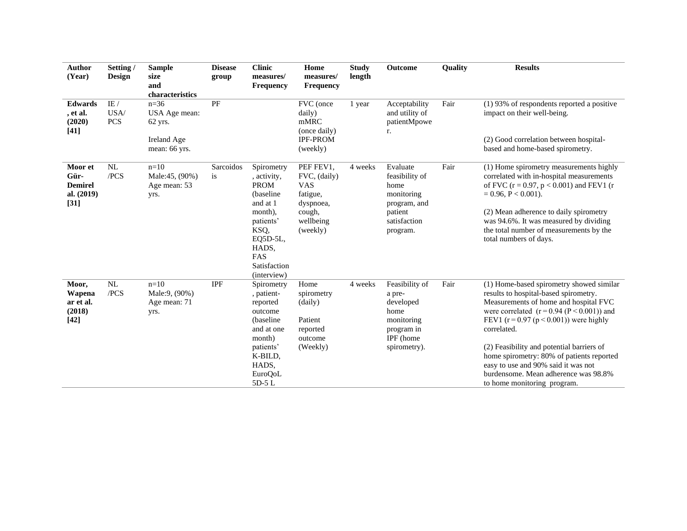| <b>Author</b><br>(Year)                                   | Setting /<br><b>Design</b> | <b>Sample</b><br>size<br>and<br>characteristics                        | <b>Disease</b><br>group | <b>Clinic</b><br>measures/<br><b>Frequency</b>                                                                                                               | Home<br>measures/<br>Frequency                                                                      | <b>Study</b><br>length | Outcome                                                                                                 | <b>Quality</b> | <b>Results</b>                                                                                                                                                                                                                                                                                                                                                                                                                                 |
|-----------------------------------------------------------|----------------------------|------------------------------------------------------------------------|-------------------------|--------------------------------------------------------------------------------------------------------------------------------------------------------------|-----------------------------------------------------------------------------------------------------|------------------------|---------------------------------------------------------------------------------------------------------|----------------|------------------------------------------------------------------------------------------------------------------------------------------------------------------------------------------------------------------------------------------------------------------------------------------------------------------------------------------------------------------------------------------------------------------------------------------------|
| <b>Edwards</b><br>, et al.<br>(2020)<br>$[41]$            | IE/<br>USA/<br><b>PCS</b>  | $n = 36$<br>USA Age mean:<br>$62$ yrs.<br>Ireland Age<br>mean: 66 yrs. | PF                      |                                                                                                                                                              | FVC (once<br>daily)<br>mMRC<br>(once daily)<br><b>IPF-PROM</b><br>(weekly)                          | 1 year                 | Acceptability<br>and utility of<br>patientMpowe<br>r.                                                   | Fair           | $(1)$ 93% of respondents reported a positive<br>impact on their well-being.<br>(2) Good correlation between hospital-<br>based and home-based spirometry.                                                                                                                                                                                                                                                                                      |
| Moor et<br>Gür-<br><b>Demirel</b><br>al. (2019)<br>$[31]$ | NL<br>/PCS                 | $n=10$<br>Male:45, (90%)<br>Age mean: 53<br>yrs.                       | Sarcoidos<br>is         | Spirometry<br>, activity,<br><b>PROM</b><br>(baseline<br>and at 1<br>month).<br>patients'<br>KSQ,<br>EQ5D-5L,<br>HADS,<br>FAS<br>Satisfaction<br>(interview) | PEF FEV1,<br>FVC, (daily)<br><b>VAS</b><br>fatigue,<br>dyspnoea,<br>cough,<br>wellbeing<br>(weekly) | 4 weeks                | Evaluate<br>feasibility of<br>home<br>monitoring<br>program, and<br>patient<br>satisfaction<br>program. | Fair           | (1) Home spirometry measurements highly<br>correlated with in-hospital measurements<br>of FVC ( $r = 0.97$ , $p < 0.001$ ) and FEV1 (r<br>$= 0.96, P < 0.001$ ).<br>(2) Mean adherence to daily spirometry<br>was 94.6%. It was measured by dividing<br>the total number of measurements by the<br>total numbers of days.                                                                                                                      |
| Moor,<br>Wapena<br>ar et al.<br>(2018)<br>$[42]$          | NL<br>/PCS                 | $n=10$<br>Male:9, (90%)<br>Age mean: 71<br>yrs.                        | <b>IPF</b>              | Spirometry<br>, patient-<br>reported<br>outcome<br>(baseline)<br>and at one<br>month)<br>patients'<br>K-BILD,<br>HADS,<br><b>EuroQoL</b><br>5D-5L            | Home<br>spirometry<br>(daily)<br>Patient<br>reported<br>outcome<br>(Weekly)                         | 4 weeks                | Feasibility of<br>a pre-<br>developed<br>home<br>monitoring<br>program in<br>IPF (home<br>spirometry).  | Fair           | (1) Home-based spirometry showed similar<br>results to hospital-based spirometry.<br>Measurements of home and hospital FVC<br>were correlated $(r = 0.94 (P < 0.001))$ and<br>FEV1 $(r = 0.97 (p < 0.001))$ were highly<br>correlated.<br>(2) Feasibility and potential barriers of<br>home spirometry: 80% of patients reported<br>easy to use and 90% said it was not<br>burdensome. Mean adherence was 98.8%<br>to home monitoring program. |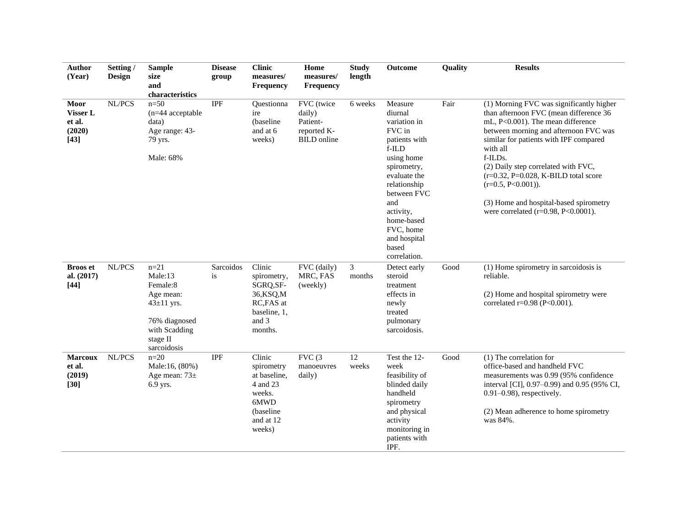| <b>Author</b><br>(Year)                        | Setting /<br><b>Design</b> | <b>Sample</b><br>size<br>and<br>characteristics                                                                               | <b>Disease</b><br>group | <b>Clinic</b><br>measures/<br><b>Frequency</b>                                                         | Home<br>measures/<br>Frequency                                        | <b>Study</b><br>length   | Outcome                                                                                                                                                                                                                                       | Quality | <b>Results</b>                                                                                                                                                                                                                                                                                                                                                                                                                     |
|------------------------------------------------|----------------------------|-------------------------------------------------------------------------------------------------------------------------------|-------------------------|--------------------------------------------------------------------------------------------------------|-----------------------------------------------------------------------|--------------------------|-----------------------------------------------------------------------------------------------------------------------------------------------------------------------------------------------------------------------------------------------|---------|------------------------------------------------------------------------------------------------------------------------------------------------------------------------------------------------------------------------------------------------------------------------------------------------------------------------------------------------------------------------------------------------------------------------------------|
| Moor<br>Visser L<br>et al.<br>(2020)<br>$[43]$ | NL/PCS                     | $n=50$<br>$(n=44$ acceptable<br>data)<br>Age range: 43-<br>79 yrs.<br>Male: 68%                                               | <b>IPF</b>              | Questionna<br>ire<br>(baseline<br>and at 6<br>weeks)                                                   | FVC (twice<br>daily)<br>Patient-<br>reported K-<br><b>BILD</b> online | 6 weeks                  | Measure<br>diurnal<br>variation in<br>FVC in<br>patients with<br>$f$ -ILD<br>using home<br>spirometry,<br>evaluate the<br>relationship<br>between FVC<br>and<br>activity,<br>home-based<br>FVC, home<br>and hospital<br>based<br>correlation. | Fair    | (1) Morning FVC was significantly higher<br>than afternoon FVC (mean difference 36<br>mL, P<0.001). The mean difference<br>between morning and afternoon FVC was<br>similar for patients with IPF compared<br>with all<br>f-ILDs.<br>(2) Daily step correlated with FVC,<br>$(r=0.32, P=0.028, K-BILD$ total score<br>$(r=0.5, P<0.001)).$<br>(3) Home and hospital-based spirometry<br>were correlated ( $r=0.98$ , $P<0.0001$ ). |
| <b>Broos</b> et<br>al. (2017)<br>$[44]$        | NL/PCS                     | $n = 21$<br>Male:13<br>Female:8<br>Age mean:<br>$43 \pm 11$ yrs.<br>76% diagnosed<br>with Scadding<br>stage II<br>sarcoidosis | Sarcoidos<br>is         | Clinic<br>spirometry,<br>SGRQ, SF-<br>36, KSQ, M<br>RC, FAS at<br>baseline, 1,<br>and 3<br>months.     | FVC (daily)<br>MRC, FAS<br>(weekly)                                   | 3<br>months              | Detect early<br>steroid<br>treatment<br>effects in<br>newly<br>treated<br>pulmonary<br>sarcoidosis.                                                                                                                                           | Good    | (1) Home spirometry in sarcoidosis is<br>reliable.<br>(2) Home and hospital spirometry were<br>correlated r=0.98 (P<0.001).                                                                                                                                                                                                                                                                                                        |
| <b>Marcoux</b><br>et al.<br>(2019)<br>$[30]$   | NL/PCS                     | $n=20$<br>Male:16, (80%)<br>Age mean: $73\pm$<br>6.9 yrs.                                                                     | <b>IPF</b>              | Clinic<br>spirometry<br>at baseline,<br>4 and 23<br>weeks.<br>6MWD<br>(baseline<br>and at 12<br>weeks) | FVC(3)<br>manoeuvres<br>daily)                                        | $\overline{12}$<br>weeks | Test the 12-<br>week<br>feasibility of<br>blinded daily<br>handheld<br>spirometry<br>and physical<br>activity<br>monitoring in<br>patients with<br>IPF.                                                                                       | Good    | (1) The correlation for<br>office-based and handheld FVC<br>measurements was 0.99 (95% confidence<br>interval [CI], 0.97-0.99) and 0.95 (95% CI,<br>$0.91 - 0.98$ ), respectively.<br>(2) Mean adherence to home spirometry<br>was 84%.                                                                                                                                                                                            |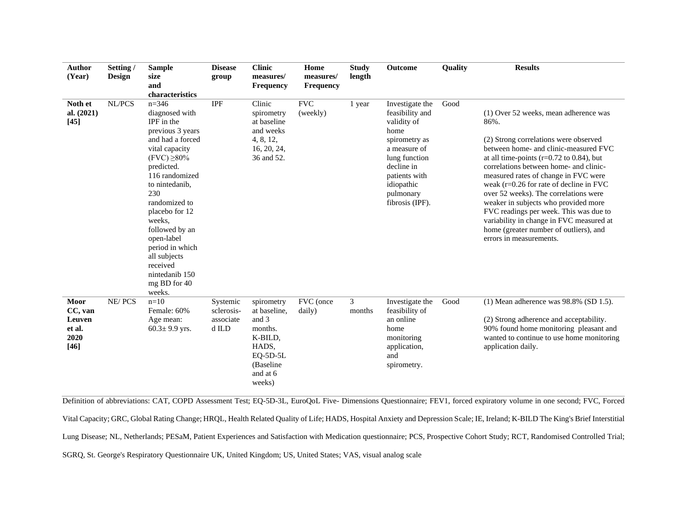| <b>Author</b><br>(Year)                               | Setting /<br><b>Design</b> | <b>Sample</b><br>size<br>and<br>characteristics                                                                                                                                                                                                                                                                                                         | <b>Disease</b><br>group                      | <b>Clinic</b><br>measures/<br>Frequency                                                                             | Home<br>measures/<br><b>Frequency</b> | <b>Study</b><br>length   | Outcome                                                                                                                                                                                  | Quality | <b>Results</b>                                                                                                                                                                                                                                                                                                                                                                                                                                                                                                                                            |
|-------------------------------------------------------|----------------------------|---------------------------------------------------------------------------------------------------------------------------------------------------------------------------------------------------------------------------------------------------------------------------------------------------------------------------------------------------------|----------------------------------------------|---------------------------------------------------------------------------------------------------------------------|---------------------------------------|--------------------------|------------------------------------------------------------------------------------------------------------------------------------------------------------------------------------------|---------|-----------------------------------------------------------------------------------------------------------------------------------------------------------------------------------------------------------------------------------------------------------------------------------------------------------------------------------------------------------------------------------------------------------------------------------------------------------------------------------------------------------------------------------------------------------|
| Noth et<br>al. (2021)<br>[45]                         | NL/PCS                     | $n=346$<br>diagnosed with<br>IPF in the<br>previous 3 years<br>and had a forced<br>vital capacity<br>$(FVC) \geq 80\%$<br>predicted.<br>116 randomized<br>to nintedanib,<br>230<br>randomized to<br>placebo for 12<br>weeks.<br>followed by an<br>open-label<br>period in which<br>all subjects<br>received<br>nintedanib 150<br>mg BD for 40<br>weeks. | <b>IPF</b>                                   | Clinic<br>spirometry<br>at baseline<br>and weeks<br>4, 8, 12,<br>16, 20, 24,<br>36 and 52.                          | <b>FVC</b><br>(weekly)                | 1 year                   | Investigate the<br>feasibility and<br>validity of<br>home<br>spirometry as<br>a measure of<br>lung function<br>decline in<br>patients with<br>idiopathic<br>pulmonary<br>fibrosis (IPF). | Good    | (1) Over 52 weeks, mean adherence was<br>86%.<br>(2) Strong correlations were observed<br>between home- and clinic-measured FVC<br>at all time-points ( $r=0.72$ to 0.84), but<br>correlations between home- and clinic-<br>measured rates of change in FVC were<br>weak $(r=0.26$ for rate of decline in FVC<br>over 52 weeks). The correlations were<br>weaker in subjects who provided more<br>FVC readings per week. This was due to<br>variability in change in FVC measured at<br>home (greater number of outliers), and<br>errors in measurements. |
| Moor<br>CC, van<br>Leuven<br>et al.<br>2020<br>$[46]$ | NE/PCS                     | $n=10$<br>Female: 60%<br>Age mean:<br>$60.3 \pm 9.9$ yrs.                                                                                                                                                                                                                                                                                               | Systemic<br>sclerosis-<br>associate<br>d ILD | spirometry<br>at baseline,<br>and 3<br>months.<br>K-BILD,<br>HADS,<br>$EQ-5D-5L$<br>(Baseline<br>and at 6<br>weeks) | FVC (once<br>daily)                   | $\mathfrak{Z}$<br>months | Investigate the<br>feasibility of<br>an online<br>home<br>monitoring<br>application,<br>and<br>spirometry.                                                                               | Good    | $(1)$ Mean adherence was 98.8% (SD 1.5).<br>(2) Strong adherence and acceptability.<br>90% found home monitoring pleasant and<br>wanted to continue to use home monitoring<br>application daily.                                                                                                                                                                                                                                                                                                                                                          |

Definition of abbreviations: CAT, COPD Assessment Test; EQ-5D-3L, EuroQoL Five- Dimensions Questionnaire; FEV1, forced expiratory volume in one second; FVC, Forced Vital Capacity; GRC, Global Rating Change; HRQL, Health Related Quality of Life; HADS, Hospital Anxiety and Depression Scale; IE, Ireland; K-BILD The King's Brief Interstitial Lung Disease; NL, Netherlands; PESaM, Patient Experiences and Satisfaction with Medication questionnaire; PCS, Prospective Cohort Study; RCT, Randomised Controlled Trial; SGRQ, St. George's Respiratory Questionnaire UK, United Kingdom; US, United States; VAS, visual analog scale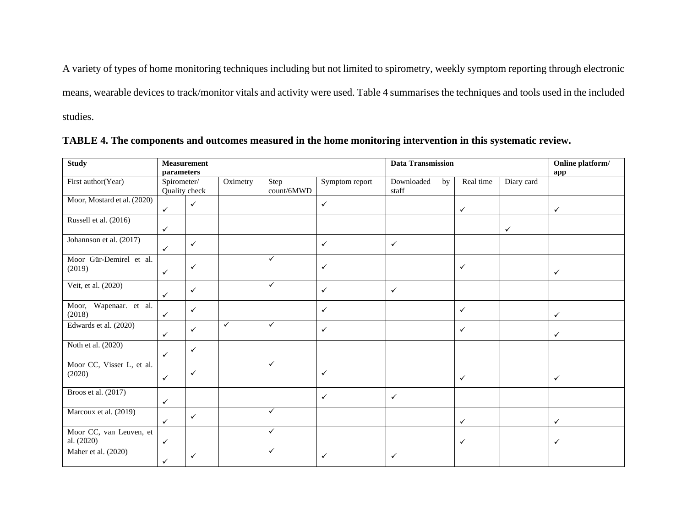A variety of types of home monitoring techniques including but not limited to spirometry, weekly symptom reporting through electronic means, wearable devices to track/monitor vitals and activity were used. Table 4 summarises the techniques and tools used in the included studies.

| <b>Study</b>                          | parameters   | <b>Measurement</b> |              |                    |                | <b>Data Transmission</b>  |              | Online platform/<br>app |              |
|---------------------------------------|--------------|--------------------|--------------|--------------------|----------------|---------------------------|--------------|-------------------------|--------------|
| First author(Year)                    | Spirometer/  | Quality check      | Oximetry     | Step<br>count/6MWD | Symptom report | Downloaded<br>by<br>staff | Real time    | Diary card              |              |
| Moor, Mostard et al. (2020)           | $\checkmark$ | $\checkmark$       |              |                    | $\checkmark$   |                           | $\checkmark$ |                         | $\checkmark$ |
| Russell et al. (2016)                 | $\checkmark$ |                    |              |                    |                |                           |              | $\checkmark$            |              |
| Johannson et al. (2017)               | $\checkmark$ | $\checkmark$       |              |                    | $\checkmark$   | $\checkmark$              |              |                         |              |
| Moor Gür-Demirel et al.<br>(2019)     | $\checkmark$ | $\checkmark$       |              | $\checkmark$       | $\checkmark$   |                           | $\checkmark$ |                         | $\checkmark$ |
| Veit, et al. (2020)                   | $\checkmark$ | $\checkmark$       |              | $\checkmark$       | $\checkmark$   | ✓                         |              |                         |              |
| Moor, Wapenaar. et al.<br>(2018)      | $\checkmark$ | $\checkmark$       |              |                    | $\checkmark$   |                           | $\checkmark$ |                         | $\checkmark$ |
| Edwards et al. (2020)                 | $\checkmark$ | $\checkmark$       | $\checkmark$ | $\checkmark$       | $\checkmark$   |                           | $\checkmark$ |                         | $\checkmark$ |
| Noth et al. (2020)                    | $\checkmark$ | $\checkmark$       |              |                    |                |                           |              |                         |              |
| Moor CC, Visser L, et al.<br>(2020)   | $\checkmark$ | ✓                  |              | $\checkmark$       | $\checkmark$   |                           | $\checkmark$ |                         | $\checkmark$ |
| Broos et al. (2017)                   | $\checkmark$ |                    |              |                    | $\checkmark$   | $\checkmark$              |              |                         |              |
| Marcoux et al. (2019)                 | $\checkmark$ | $\checkmark$       |              | $\checkmark$       |                |                           | $\checkmark$ |                         | $\checkmark$ |
| Moor CC, van Leuven, et<br>al. (2020) | $\checkmark$ |                    |              | $\checkmark$       |                |                           | $\checkmark$ |                         | $\checkmark$ |
| Maher et al. (2020)                   | $\checkmark$ | $\checkmark$       |              | $\checkmark$       | $\checkmark$   | ✓                         |              |                         |              |

| TABLE 4. The components and outcomes measured in the home monitoring intervention in this systematic review. |  |
|--------------------------------------------------------------------------------------------------------------|--|
|--------------------------------------------------------------------------------------------------------------|--|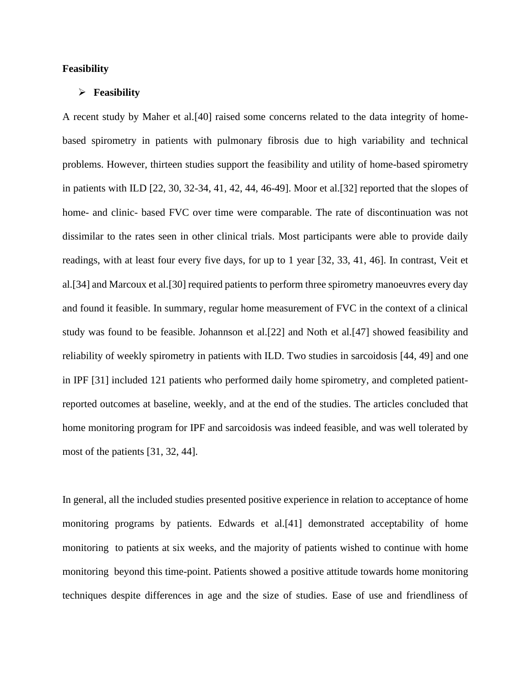#### **Feasibility**

#### ➢ **Feasibility**

A recent study by Maher et al.[40] raised some concerns related to the data integrity of homebased spirometry in patients with pulmonary fibrosis due to high variability and technical problems. However, thirteen studies support the feasibility and utility of home-based spirometry in patients with ILD [22, 30, 32-34, 41, 42, 44, 46-49]. Moor et al.[32] reported that the slopes of home- and clinic- based FVC over time were comparable. The rate of discontinuation was not dissimilar to the rates seen in other clinical trials. Most participants were able to provide daily readings, with at least four every five days, for up to 1 year [32, 33, 41, 46]. In contrast, Veit et al.[34] and Marcoux et al.[30] required patients to perform three spirometry manoeuvres every day and found it feasible. In summary, regular home measurement of FVC in the context of a clinical study was found to be feasible. Johannson et al.[22] and Noth et al.[47] showed feasibility and reliability of weekly spirometry in patients with ILD. Two studies in sarcoidosis [44, 49] and one in IPF [31] included 121 patients who performed daily home spirometry, and completed patientreported outcomes at baseline, weekly, and at the end of the studies. The articles concluded that home monitoring program for IPF and sarcoidosis was indeed feasible, and was well tolerated by most of the patients [31, 32, 44].

In general, all the included studies presented positive experience in relation to acceptance of home monitoring programs by patients. Edwards et al.[41] demonstrated acceptability of home monitoring to patients at six weeks, and the majority of patients wished to continue with home monitoring beyond this time-point. Patients showed a positive attitude towards home monitoring techniques despite differences in age and the size of studies. Ease of use and friendliness of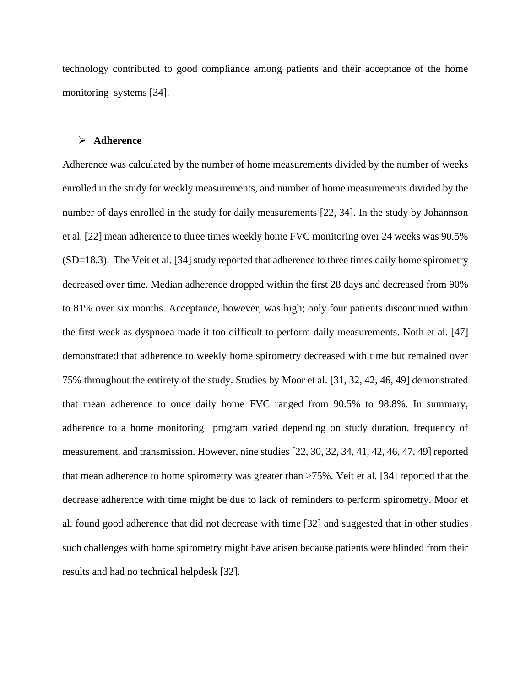technology contributed to good compliance among patients and their acceptance of the home monitoring systems [34].

#### ➢ **Adherence**

Adherence was calculated by the number of home measurements divided by the number of weeks enrolled in the study for weekly measurements, and number of home measurements divided by the number of days enrolled in the study for daily measurements [22, 34]. In the study by Johannson et al. [22] mean adherence to three times weekly home FVC monitoring over 24 weeks was 90.5% (SD=18.3). The Veit et al. [34] study reported that adherence to three times daily home spirometry decreased over time. Median adherence dropped within the first 28 days and decreased from 90% to 81% over six months. Acceptance, however, was high; only four patients discontinued within the first week as dyspnoea made it too difficult to perform daily measurements. Noth et al. [47] demonstrated that adherence to weekly home spirometry decreased with time but remained over 75% throughout the entirety of the study. Studies by Moor et al. [31, 32, 42, 46, 49] demonstrated that mean adherence to once daily home FVC ranged from 90.5% to 98.8%. In summary, adherence to a home monitoring program varied depending on study duration, frequency of measurement, and transmission. However, nine studies [22, 30, 32, 34, 41, 42, 46, 47, 49] reported that mean adherence to home spirometry was greater than >75%. Veit et al. [34] reported that the decrease adherence with time might be due to lack of reminders to perform spirometry. Moor et al. found good adherence that did not decrease with time [32] and suggested that in other studies such challenges with home spirometry might have arisen because patients were blinded from their results and had no technical helpdesk [32].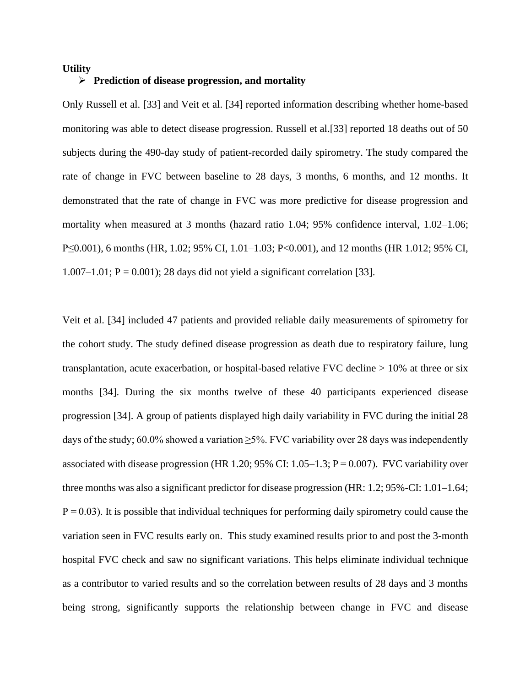#### **Utility**

#### ➢ **Prediction of disease progression, and mortality**

Only Russell et al. [33] and Veit et al. [34] reported information describing whether home-based monitoring was able to detect disease progression. Russell et al.[33] reported 18 deaths out of 50 subjects during the 490-day study of patient-recorded daily spirometry. The study compared the rate of change in FVC between baseline to 28 days, 3 months, 6 months, and 12 months. It demonstrated that the rate of change in FVC was more predictive for disease progression and mortality when measured at 3 months (hazard ratio 1.04; 95% confidence interval, 1.02–1.06; P≤0.001), 6 months (HR, 1.02; 95% CI, 1.01–1.03; P<0.001), and 12 months (HR 1.012; 95% CI,  $1.007-1.01$ ;  $P = 0.001$ ); 28 days did not yield a significant correlation [33].

Veit et al. [34] included 47 patients and provided reliable daily measurements of spirometry for the cohort study. The study defined disease progression as death due to respiratory failure, lung transplantation, acute exacerbation, or hospital-based relative FVC decline > 10% at three or six months [34]. During the six months twelve of these 40 participants experienced disease progression [34]. A group of patients displayed high daily variability in FVC during the initial 28 days of the study; 60.0% showed a variation  $\geq$ 5%. FVC variability over 28 days was independently associated with disease progression (HR 1.20; 95% CI: 1.05–1.3;  $P = 0.007$ ). FVC variability over three months was also a significant predictor for disease progression (HR: 1.2; 95%-CI: 1.01–1.64;  $P = 0.03$ ). It is possible that individual techniques for performing daily spirometry could cause the variation seen in FVC results early on. This study examined results prior to and post the 3-month hospital FVC check and saw no significant variations. This helps eliminate individual technique as a contributor to varied results and so the correlation between results of 28 days and 3 months being strong, significantly supports the relationship between change in FVC and disease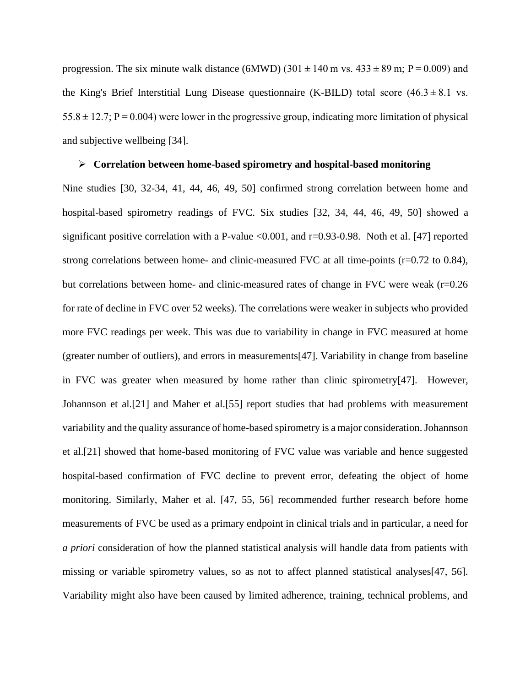progression. The six minute walk distance (6MWD) (301 $\pm$ 140 m vs. 433 $\pm$ 89 m; P $=$ 0.009) and the King's Brief Interstitial Lung Disease questionnaire (K-BILD) total score  $(46.3 \pm 8.1 \text{ vs.})$  $55.8 \pm 12.7$ ; P $= 0.004$ ) were lower in the progressive group, indicating more limitation of physical and subjective wellbeing [34].

#### ➢ **Correlation between home-based spirometry and hospital-based monitoring**

Nine studies [30, 32-34, 41, 44, 46, 49, 50] confirmed strong correlation between home and hospital-based spirometry readings of FVC. Six studies [32, 34, 44, 46, 49, 50] showed a significant positive correlation with a P-value  $\leq 0.001$ , and r=0.93-0.98. Noth et al. [47] reported strong correlations between home- and clinic-measured FVC at all time-points (r=0.72 to 0.84), but correlations between home- and clinic-measured rates of change in FVC were weak (r=0.26 for rate of decline in FVC over 52 weeks). The correlations were weaker in subjects who provided more FVC readings per week. This was due to variability in change in FVC measured at home (greater number of outliers), and errors in measurements[47]. Variability in change from baseline in FVC was greater when measured by home rather than clinic spirometry[47]. However, Johannson et al.[21] and Maher et al.[55] report studies that had problems with measurement variability and the quality assurance of home-based spirometry is a major consideration. Johannson et al.[21] showed that home-based monitoring of FVC value was variable and hence suggested hospital-based confirmation of FVC decline to prevent error, defeating the object of home monitoring. Similarly, Maher et al. [47, 55, 56] recommended further research before home measurements of FVC be used as a primary endpoint in clinical trials and in particular, a need for *a priori* consideration of how the planned statistical analysis will handle data from patients with missing or variable spirometry values, so as not to affect planned statistical analyses[47, 56]. Variability might also have been caused by limited adherence, training, technical problems, and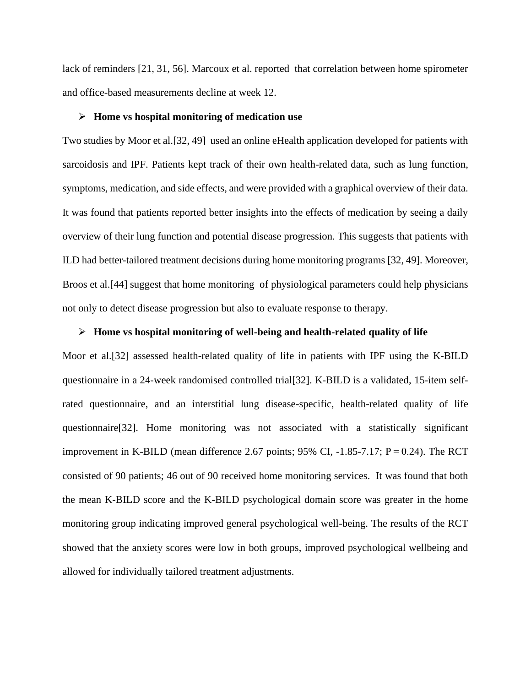lack of reminders [21, 31, 56]. Marcoux et al. reported that correlation between home spirometer and office-based measurements decline at week 12.

#### ➢ **Home vs hospital monitoring of medication use**

Two studies by Moor et al.[32, 49] used an online eHealth application developed for patients with sarcoidosis and IPF. Patients kept track of their own health-related data, such as lung function, symptoms, medication, and side effects, and were provided with a graphical overview of their data. It was found that patients reported better insights into the effects of medication by seeing a daily overview of their lung function and potential disease progression. This suggests that patients with ILD had better-tailored treatment decisions during home monitoring programs [32, 49]. Moreover, Broos et al.[44] suggest that home monitoring of physiological parameters could help physicians not only to detect disease progression but also to evaluate response to therapy.

#### ➢ **Home vs hospital monitoring of well-being and health-related quality of life**

Moor et al.[32] assessed health-related quality of life in patients with IPF using the K-BILD questionnaire in a 24-week randomised controlled trial[32]. K-BILD is a validated, 15-item selfrated questionnaire, and an interstitial lung disease-specific, health-related quality of life questionnaire[32]. Home monitoring was not associated with a statistically significant improvement in K-BILD (mean difference 2.67 points;  $95\%$  CI,  $-1.85-7.17$ ; P $= 0.24$ ). The RCT consisted of 90 patients; 46 out of 90 received home monitoring services. It was found that both the mean K-BILD score and the K-BILD psychological domain score was greater in the home monitoring group indicating improved general psychological well-being. The results of the RCT showed that the anxiety scores were low in both groups, improved psychological wellbeing and allowed for individually tailored treatment adjustments.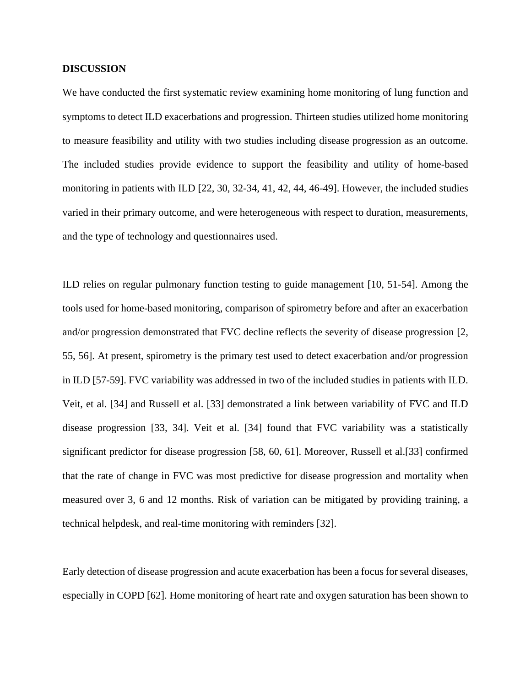#### **DISCUSSION**

We have conducted the first systematic review examining home monitoring of lung function and symptoms to detect ILD exacerbations and progression. Thirteen studies utilized home monitoring to measure feasibility and utility with two studies including disease progression as an outcome. The included studies provide evidence to support the feasibility and utility of home-based monitoring in patients with ILD [22, 30, 32-34, 41, 42, 44, 46-49]. However, the included studies varied in their primary outcome, and were heterogeneous with respect to duration, measurements, and the type of technology and questionnaires used.

ILD relies on regular pulmonary function testing to guide management [10, 51-54]. Among the tools used for home-based monitoring, comparison of spirometry before and after an exacerbation and/or progression demonstrated that FVC decline reflects the severity of disease progression [2, 55, 56]. At present, spirometry is the primary test used to detect exacerbation and/or progression in ILD [57-59]. FVC variability was addressed in two of the included studies in patients with ILD. Veit, et al. [34] and Russell et al. [33] demonstrated a link between variability of FVC and ILD disease progression [33, 34]. Veit et al. [34] found that FVC variability was a statistically significant predictor for disease progression [58, 60, 61]. Moreover, Russell et al.[33] confirmed that the rate of change in FVC was most predictive for disease progression and mortality when measured over 3, 6 and 12 months. Risk of variation can be mitigated by providing training, a technical helpdesk, and real-time monitoring with reminders [32].

Early detection of disease progression and acute exacerbation has been a focus for several diseases, especially in COPD [62]. Home monitoring of heart rate and oxygen saturation has been shown to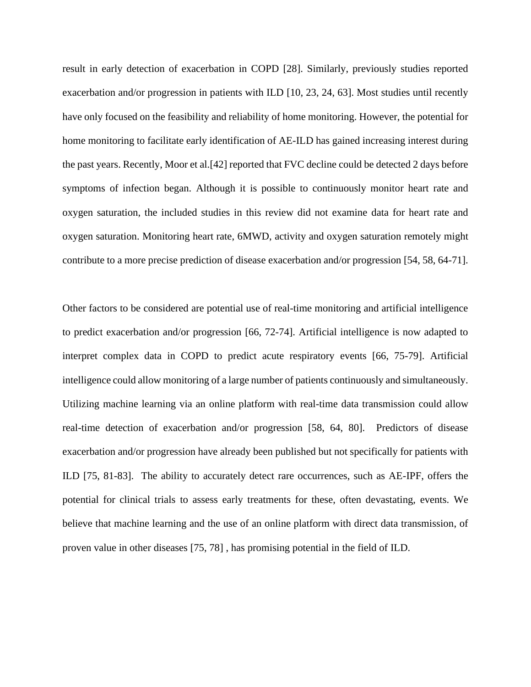result in early detection of exacerbation in COPD [28]. Similarly, previously studies reported exacerbation and/or progression in patients with ILD [10, 23, 24, 63]. Most studies until recently have only focused on the feasibility and reliability of home monitoring. However, the potential for home monitoring to facilitate early identification of AE-ILD has gained increasing interest during the past years. Recently, Moor et al.[42] reported that FVC decline could be detected 2 days before symptoms of infection began. Although it is possible to continuously monitor heart rate and oxygen saturation, the included studies in this review did not examine data for heart rate and oxygen saturation. Monitoring heart rate, 6MWD, activity and oxygen saturation remotely might contribute to a more precise prediction of disease exacerbation and/or progression [54, 58, 64-71].

Other factors to be considered are potential use of real-time monitoring and artificial intelligence to predict exacerbation and/or progression [66, 72-74]. Artificial intelligence is now adapted to interpret complex data in COPD to predict acute respiratory events [66, 75-79]. Artificial intelligence could allow monitoring of a large number of patients continuously and simultaneously. Utilizing machine learning via an online platform with real-time data transmission could allow real-time detection of exacerbation and/or progression [58, 64, 80]. Predictors of disease exacerbation and/or progression have already been published but not specifically for patients with ILD [75, 81-83]. The ability to accurately detect rare occurrences, such as AE-IPF, offers the potential for clinical trials to assess early treatments for these, often devastating, events. We believe that machine learning and the use of an online platform with direct data transmission, of proven value in other diseases [75, 78] , has promising potential in the field of ILD.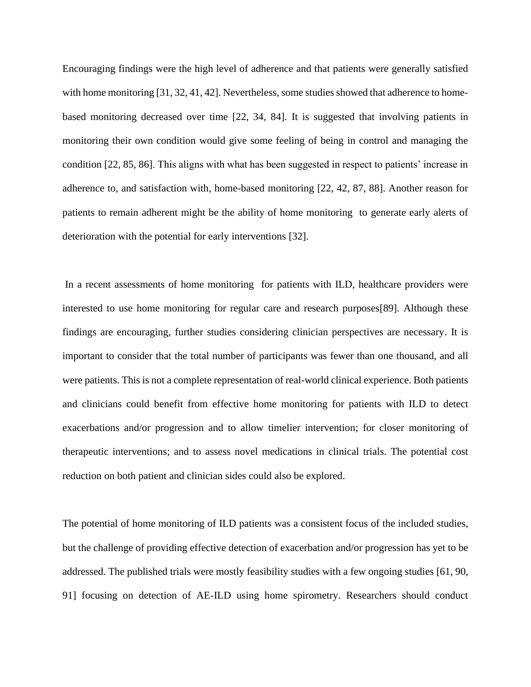Encouraging findings were the high level of adherence and that patients were generally satisfied with home monitoring [31, 32, 41, 42]. Nevertheless, some studies showed that adherence to homebased monitoring decreased over time [22, 34, 84]. It is suggested that involving patients in monitoring their own condition would give some feeling of being in control and managing the condition [22, 85, 86]. This aligns with what has been suggested in respect to patients' increase in adherence to, and satisfaction with, home-based monitoring [22, 42, 87, 88]. Another reason for patients to remain adherent might be the ability of home monitoring to generate early alerts of deterioration with the potential for early interventions [32].

In a recent assessments of home monitoring for patients with ILD, healthcare providers were interested to use home monitoring for regular care and research purposes[89]. Although these findings are encouraging, further studies considering clinician perspectives are necessary. It is important to consider that the total number of participants was fewer than one thousand, and all were patients. This is not a complete representation of real-world clinical experience. Both patients and clinicians could benefit from effective home monitoring for patients with ILD to detect exacerbations and/or progression and to allow timelier intervention; for closer monitoring of therapeutic interventions; and to assess novel medications in clinical trials. The potential cost reduction on both patient and clinician sides could also be explored.

The potential of home monitoring of ILD patients was a consistent focus of the included studies, but the challenge of providing effective detection of exacerbation and/or progression has yet to be addressed. The published trials were mostly feasibility studies with a few ongoing studies [61, 90, 91] focusing on detection of AE-ILD using home spirometry. Researchers should conduct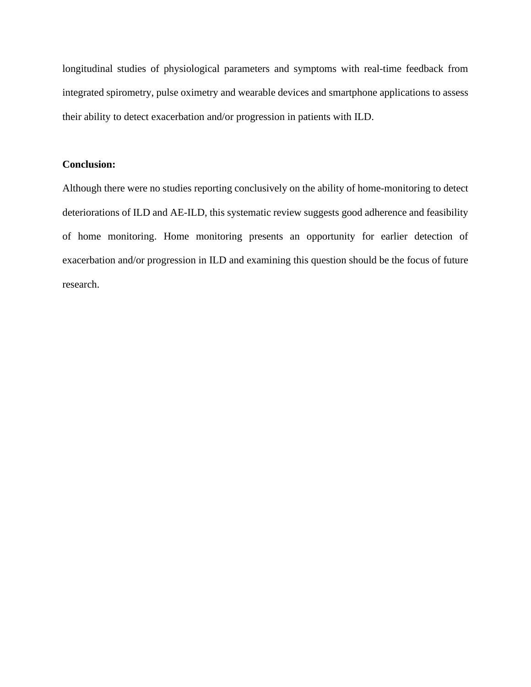longitudinal studies of physiological parameters and symptoms with real-time feedback from integrated spirometry, pulse oximetry and wearable devices and smartphone applications to assess their ability to detect exacerbation and/or progression in patients with ILD.

#### **Conclusion:**

Although there were no studies reporting conclusively on the ability of home-monitoring to detect deteriorations of ILD and AE-ILD, this systematic review suggests good adherence and feasibility of home monitoring. Home monitoring presents an opportunity for earlier detection of exacerbation and/or progression in ILD and examining this question should be the focus of future research.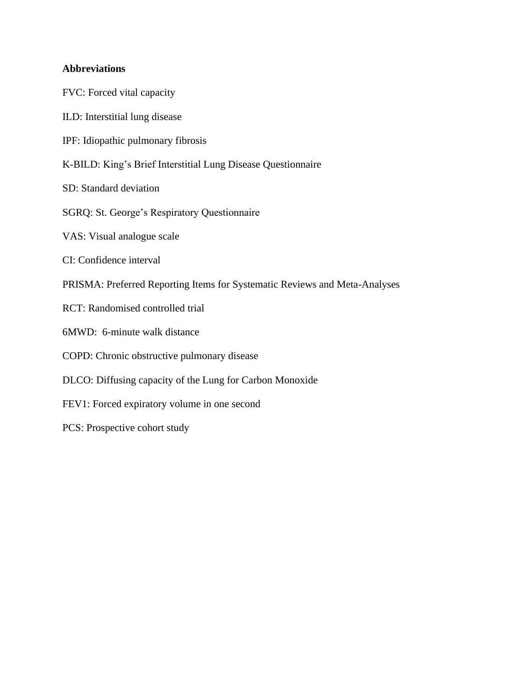## **Abbreviations**

FVC: Forced vital capacity ILD: Interstitial lung disease IPF: Idiopathic pulmonary fibrosis K-BILD: King's Brief Interstitial Lung Disease Questionnaire SD: Standard deviation SGRQ: St. George's Respiratory Questionnaire VAS: Visual analogue scale CI: Confidence interval PRISMA: Preferred Reporting Items for Systematic Reviews and Meta-Analyses RCT: Randomised controlled trial 6MWD: 6-minute walk distance COPD: Chronic obstructive pulmonary disease DLCO: Diffusing capacity of the Lung for Carbon Monoxide FEV1: Forced expiratory volume in one second PCS: Prospective cohort study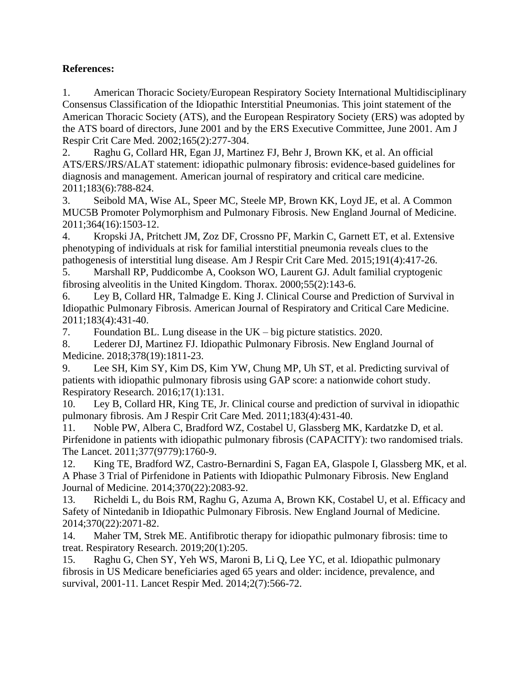## **References:**

1. American Thoracic Society/European Respiratory Society International Multidisciplinary Consensus Classification of the Idiopathic Interstitial Pneumonias. This joint statement of the American Thoracic Society (ATS), and the European Respiratory Society (ERS) was adopted by the ATS board of directors, June 2001 and by the ERS Executive Committee, June 2001. Am J Respir Crit Care Med. 2002;165(2):277-304.

2. Raghu G, Collard HR, Egan JJ, Martinez FJ, Behr J, Brown KK, et al. An official ATS/ERS/JRS/ALAT statement: idiopathic pulmonary fibrosis: evidence-based guidelines for diagnosis and management. American journal of respiratory and critical care medicine. 2011;183(6):788-824.

3. Seibold MA, Wise AL, Speer MC, Steele MP, Brown KK, Loyd JE, et al. A Common MUC5B Promoter Polymorphism and Pulmonary Fibrosis. New England Journal of Medicine. 2011;364(16):1503-12.

4. Kropski JA, Pritchett JM, Zoz DF, Crossno PF, Markin C, Garnett ET, et al. Extensive phenotyping of individuals at risk for familial interstitial pneumonia reveals clues to the pathogenesis of interstitial lung disease. Am J Respir Crit Care Med. 2015;191(4):417-26.

5. Marshall RP, Puddicombe A, Cookson WO, Laurent GJ. Adult familial cryptogenic fibrosing alveolitis in the United Kingdom. Thorax. 2000;55(2):143-6.

6. Ley B, Collard HR, Talmadge E. King J. Clinical Course and Prediction of Survival in Idiopathic Pulmonary Fibrosis. American Journal of Respiratory and Critical Care Medicine. 2011;183(4):431-40.

7. Foundation BL. Lung disease in the UK – big picture statistics. 2020.

8. Lederer DJ, Martinez FJ. Idiopathic Pulmonary Fibrosis. New England Journal of Medicine. 2018;378(19):1811-23.

9. Lee SH, Kim SY, Kim DS, Kim YW, Chung MP, Uh ST, et al. Predicting survival of patients with idiopathic pulmonary fibrosis using GAP score: a nationwide cohort study. Respiratory Research. 2016;17(1):131.

10. Ley B, Collard HR, King TE, Jr. Clinical course and prediction of survival in idiopathic pulmonary fibrosis. Am J Respir Crit Care Med. 2011;183(4):431-40.

11. Noble PW, Albera C, Bradford WZ, Costabel U, Glassberg MK, Kardatzke D, et al. Pirfenidone in patients with idiopathic pulmonary fibrosis (CAPACITY): two randomised trials. The Lancet. 2011;377(9779):1760-9.

12. King TE, Bradford WZ, Castro-Bernardini S, Fagan EA, Glaspole I, Glassberg MK, et al. A Phase 3 Trial of Pirfenidone in Patients with Idiopathic Pulmonary Fibrosis. New England Journal of Medicine. 2014;370(22):2083-92.

13. Richeldi L, du Bois RM, Raghu G, Azuma A, Brown KK, Costabel U, et al. Efficacy and Safety of Nintedanib in Idiopathic Pulmonary Fibrosis. New England Journal of Medicine. 2014;370(22):2071-82.

14. Maher TM, Strek ME. Antifibrotic therapy for idiopathic pulmonary fibrosis: time to treat. Respiratory Research. 2019;20(1):205.

15. Raghu G, Chen SY, Yeh WS, Maroni B, Li Q, Lee YC, et al. Idiopathic pulmonary fibrosis in US Medicare beneficiaries aged 65 years and older: incidence, prevalence, and survival, 2001-11. Lancet Respir Med. 2014;2(7):566-72.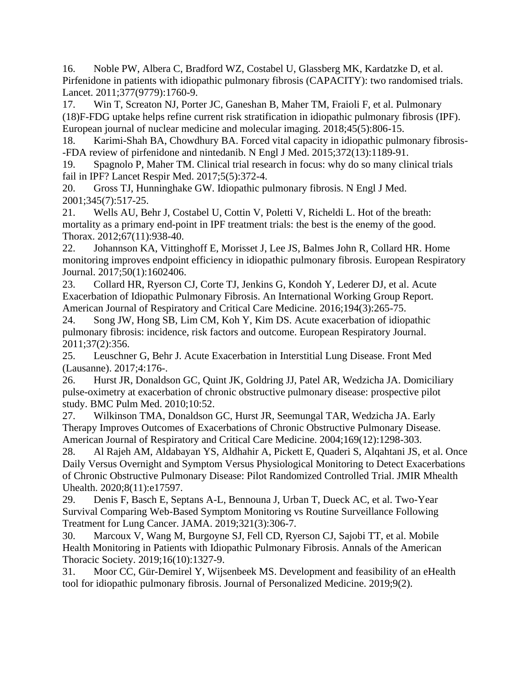16. Noble PW, Albera C, Bradford WZ, Costabel U, Glassberg MK, Kardatzke D, et al. Pirfenidone in patients with idiopathic pulmonary fibrosis (CAPACITY): two randomised trials. Lancet. 2011;377(9779):1760-9.

17. Win T, Screaton NJ, Porter JC, Ganeshan B, Maher TM, Fraioli F, et al. Pulmonary (18)F-FDG uptake helps refine current risk stratification in idiopathic pulmonary fibrosis (IPF). European journal of nuclear medicine and molecular imaging. 2018;45(5):806-15.

18. Karimi-Shah BA, Chowdhury BA. Forced vital capacity in idiopathic pulmonary fibrosis- -FDA review of pirfenidone and nintedanib. N Engl J Med. 2015;372(13):1189-91.

19. Spagnolo P, Maher TM. Clinical trial research in focus: why do so many clinical trials fail in IPF? Lancet Respir Med. 2017;5(5):372-4.

20. Gross TJ, Hunninghake GW. Idiopathic pulmonary fibrosis. N Engl J Med. 2001;345(7):517-25.

21. Wells AU, Behr J, Costabel U, Cottin V, Poletti V, Richeldi L. Hot of the breath: mortality as a primary end-point in IPF treatment trials: the best is the enemy of the good. Thorax. 2012;67(11):938-40.

22. Johannson KA, Vittinghoff E, Morisset J, Lee JS, Balmes John R, Collard HR. Home monitoring improves endpoint efficiency in idiopathic pulmonary fibrosis. European Respiratory Journal. 2017;50(1):1602406.

23. Collard HR, Ryerson CJ, Corte TJ, Jenkins G, Kondoh Y, Lederer DJ, et al. Acute Exacerbation of Idiopathic Pulmonary Fibrosis. An International Working Group Report. American Journal of Respiratory and Critical Care Medicine. 2016;194(3):265-75.

24. Song JW, Hong SB, Lim CM, Koh Y, Kim DS. Acute exacerbation of idiopathic pulmonary fibrosis: incidence, risk factors and outcome. European Respiratory Journal. 2011;37(2):356.

25. Leuschner G, Behr J. Acute Exacerbation in Interstitial Lung Disease. Front Med (Lausanne). 2017;4:176-.

26. Hurst JR, Donaldson GC, Quint JK, Goldring JJ, Patel AR, Wedzicha JA. Domiciliary pulse-oximetry at exacerbation of chronic obstructive pulmonary disease: prospective pilot study. BMC Pulm Med. 2010;10:52.

27. Wilkinson TMA, Donaldson GC, Hurst JR, Seemungal TAR, Wedzicha JA. Early Therapy Improves Outcomes of Exacerbations of Chronic Obstructive Pulmonary Disease. American Journal of Respiratory and Critical Care Medicine. 2004;169(12):1298-303.

28. Al Rajeh AM, Aldabayan YS, Aldhahir A, Pickett E, Quaderi S, Alqahtani JS, et al. Once Daily Versus Overnight and Symptom Versus Physiological Monitoring to Detect Exacerbations of Chronic Obstructive Pulmonary Disease: Pilot Randomized Controlled Trial. JMIR Mhealth Uhealth. 2020;8(11):e17597.

29. Denis F, Basch E, Septans A-L, Bennouna J, Urban T, Dueck AC, et al. Two-Year Survival Comparing Web-Based Symptom Monitoring vs Routine Surveillance Following Treatment for Lung Cancer. JAMA. 2019;321(3):306-7.

30. Marcoux V, Wang M, Burgoyne SJ, Fell CD, Ryerson CJ, Sajobi TT, et al. Mobile Health Monitoring in Patients with Idiopathic Pulmonary Fibrosis. Annals of the American Thoracic Society. 2019;16(10):1327-9.

31. Moor CC, Gür-Demirel Y, Wijsenbeek MS. Development and feasibility of an eHealth tool for idiopathic pulmonary fibrosis. Journal of Personalized Medicine. 2019;9(2).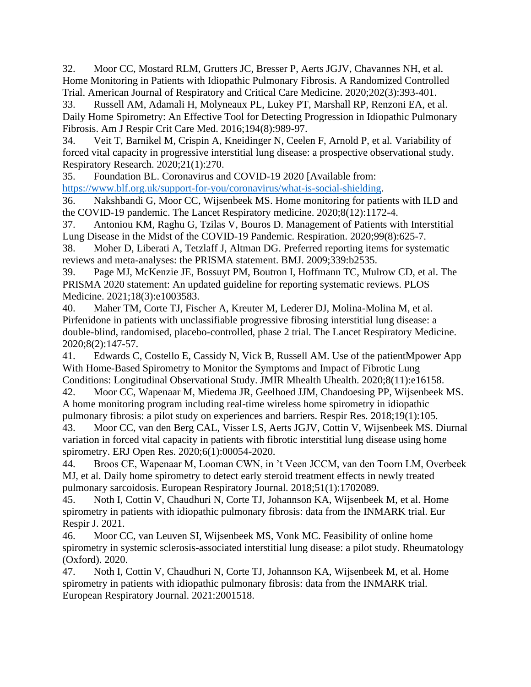32. Moor CC, Mostard RLM, Grutters JC, Bresser P, Aerts JGJV, Chavannes NH, et al. Home Monitoring in Patients with Idiopathic Pulmonary Fibrosis. A Randomized Controlled Trial. American Journal of Respiratory and Critical Care Medicine. 2020;202(3):393-401.

33. Russell AM, Adamali H, Molyneaux PL, Lukey PT, Marshall RP, Renzoni EA, et al. Daily Home Spirometry: An Effective Tool for Detecting Progression in Idiopathic Pulmonary Fibrosis. Am J Respir Crit Care Med. 2016;194(8):989-97.

34. Veit T, Barnikel M, Crispin A, Kneidinger N, Ceelen F, Arnold P, et al. Variability of forced vital capacity in progressive interstitial lung disease: a prospective observational study. Respiratory Research. 2020;21(1):270.

35. Foundation BL. Coronavirus and COVID-19 2020 [Available from: [https://www.blf.org.uk/support-for-you/coronavirus/what-is-social-shielding.](https://www.blf.org.uk/support-for-you/coronavirus/what-is-social-shielding)

36. Nakshbandi G, Moor CC, Wijsenbeek MS. Home monitoring for patients with ILD and the COVID-19 pandemic. The Lancet Respiratory medicine. 2020;8(12):1172-4.

37. Antoniou KM, Raghu G, Tzilas V, Bouros D. Management of Patients with Interstitial Lung Disease in the Midst of the COVID-19 Pandemic. Respiration. 2020;99(8):625-7.

38. Moher D, Liberati A, Tetzlaff J, Altman DG. Preferred reporting items for systematic reviews and meta-analyses: the PRISMA statement. BMJ. 2009;339:b2535.

39. Page MJ, McKenzie JE, Bossuyt PM, Boutron I, Hoffmann TC, Mulrow CD, et al. The PRISMA 2020 statement: An updated guideline for reporting systematic reviews. PLOS Medicine. 2021;18(3):e1003583.

40. Maher TM, Corte TJ, Fischer A, Kreuter M, Lederer DJ, Molina-Molina M, et al. Pirfenidone in patients with unclassifiable progressive fibrosing interstitial lung disease: a double-blind, randomised, placebo-controlled, phase 2 trial. The Lancet Respiratory Medicine. 2020;8(2):147-57.

41. Edwards C, Costello E, Cassidy N, Vick B, Russell AM. Use of the patientMpower App With Home-Based Spirometry to Monitor the Symptoms and Impact of Fibrotic Lung Conditions: Longitudinal Observational Study. JMIR Mhealth Uhealth. 2020;8(11):e16158.

42. Moor CC, Wapenaar M, Miedema JR, Geelhoed JJM, Chandoesing PP, Wijsenbeek MS. A home monitoring program including real-time wireless home spirometry in idiopathic pulmonary fibrosis: a pilot study on experiences and barriers. Respir Res. 2018;19(1):105.

43. Moor CC, van den Berg CAL, Visser LS, Aerts JGJV, Cottin V, Wijsenbeek MS. Diurnal variation in forced vital capacity in patients with fibrotic interstitial lung disease using home spirometry. ERJ Open Res. 2020;6(1):00054-2020.

44. Broos CE, Wapenaar M, Looman CWN, in 't Veen JCCM, van den Toorn LM, Overbeek MJ, et al. Daily home spirometry to detect early steroid treatment effects in newly treated pulmonary sarcoidosis. European Respiratory Journal. 2018;51(1):1702089.

45. Noth I, Cottin V, Chaudhuri N, Corte TJ, Johannson KA, Wijsenbeek M, et al. Home spirometry in patients with idiopathic pulmonary fibrosis: data from the INMARK trial. Eur Respir J. 2021.

46. Moor CC, van Leuven SI, Wijsenbeek MS, Vonk MC. Feasibility of online home spirometry in systemic sclerosis-associated interstitial lung disease: a pilot study. Rheumatology (Oxford). 2020.

47. Noth I, Cottin V, Chaudhuri N, Corte TJ, Johannson KA, Wijsenbeek M, et al. Home spirometry in patients with idiopathic pulmonary fibrosis: data from the INMARK trial. European Respiratory Journal. 2021:2001518.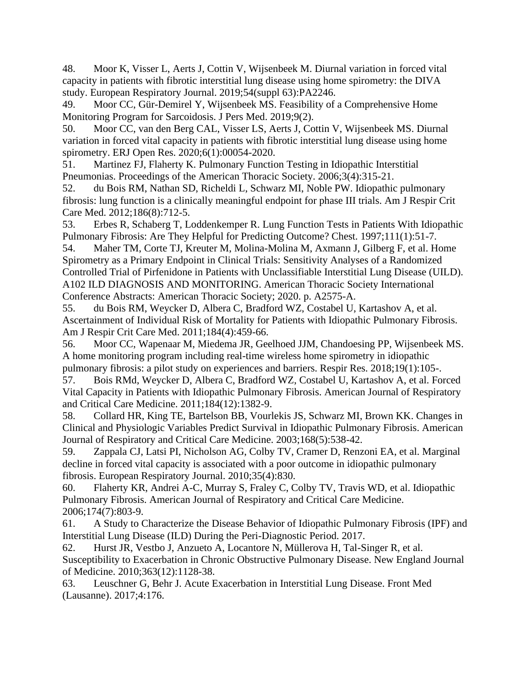48. Moor K, Visser L, Aerts J, Cottin V, Wijsenbeek M. Diurnal variation in forced vital capacity in patients with fibrotic interstitial lung disease using home spirometry: the DIVA study. European Respiratory Journal. 2019;54(suppl 63):PA2246.

49. Moor CC, Gür-Demirel Y, Wijsenbeek MS. Feasibility of a Comprehensive Home Monitoring Program for Sarcoidosis. J Pers Med. 2019;9(2).

50. Moor CC, van den Berg CAL, Visser LS, Aerts J, Cottin V, Wijsenbeek MS. Diurnal variation in forced vital capacity in patients with fibrotic interstitial lung disease using home spirometry. ERJ Open Res. 2020;6(1):00054-2020.

51. Martinez FJ, Flaherty K. Pulmonary Function Testing in Idiopathic Interstitial Pneumonias. Proceedings of the American Thoracic Society. 2006;3(4):315-21.

52. du Bois RM, Nathan SD, Richeldi L, Schwarz MI, Noble PW. Idiopathic pulmonary fibrosis: lung function is a clinically meaningful endpoint for phase III trials. Am J Respir Crit Care Med. 2012;186(8):712-5.

53. Erbes R, Schaberg T, Loddenkemper R. Lung Function Tests in Patients With Idiopathic Pulmonary Fibrosis: Are They Helpful for Predicting Outcome? Chest. 1997;111(1):51-7.

54. Maher TM, Corte TJ, Kreuter M, Molina-Molina M, Axmann J, Gilberg F, et al. Home Spirometry as a Primary Endpoint in Clinical Trials: Sensitivity Analyses of a Randomized Controlled Trial of Pirfenidone in Patients with Unclassifiable Interstitial Lung Disease (UILD). A102 ILD DIAGNOSIS AND MONITORING. American Thoracic Society International Conference Abstracts: American Thoracic Society; 2020. p. A2575-A.

55. du Bois RM, Weycker D, Albera C, Bradford WZ, Costabel U, Kartashov A, et al. Ascertainment of Individual Risk of Mortality for Patients with Idiopathic Pulmonary Fibrosis. Am J Respir Crit Care Med. 2011;184(4):459-66.

56. Moor CC, Wapenaar M, Miedema JR, Geelhoed JJM, Chandoesing PP, Wijsenbeek MS. A home monitoring program including real-time wireless home spirometry in idiopathic pulmonary fibrosis: a pilot study on experiences and barriers. Respir Res. 2018;19(1):105-.

57. Bois RMd, Weycker D, Albera C, Bradford WZ, Costabel U, Kartashov A, et al. Forced Vital Capacity in Patients with Idiopathic Pulmonary Fibrosis. American Journal of Respiratory and Critical Care Medicine. 2011;184(12):1382-9.

58. Collard HR, King TE, Bartelson BB, Vourlekis JS, Schwarz MI, Brown KK. Changes in Clinical and Physiologic Variables Predict Survival in Idiopathic Pulmonary Fibrosis. American Journal of Respiratory and Critical Care Medicine. 2003;168(5):538-42.

59. Zappala CJ, Latsi PI, Nicholson AG, Colby TV, Cramer D, Renzoni EA, et al. Marginal decline in forced vital capacity is associated with a poor outcome in idiopathic pulmonary fibrosis. European Respiratory Journal. 2010;35(4):830.

60. Flaherty KR, Andrei A-C, Murray S, Fraley C, Colby TV, Travis WD, et al. Idiopathic Pulmonary Fibrosis. American Journal of Respiratory and Critical Care Medicine. 2006;174(7):803-9.

61. A Study to Characterize the Disease Behavior of Idiopathic Pulmonary Fibrosis (IPF) and Interstitial Lung Disease (ILD) During the Peri-Diagnostic Period. 2017.

62. Hurst JR, Vestbo J, Anzueto A, Locantore N, Müllerova H, Tal-Singer R, et al. Susceptibility to Exacerbation in Chronic Obstructive Pulmonary Disease. New England Journal of Medicine. 2010;363(12):1128-38.

63. Leuschner G, Behr J. Acute Exacerbation in Interstitial Lung Disease. Front Med (Lausanne). 2017;4:176.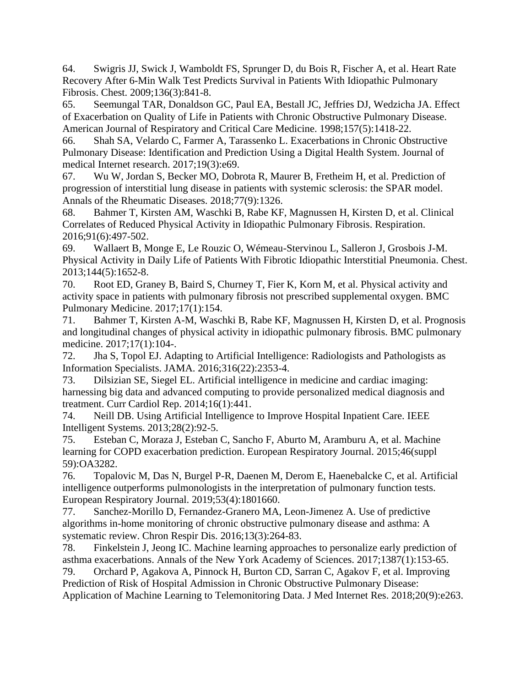64. Swigris JJ, Swick J, Wamboldt FS, Sprunger D, du Bois R, Fischer A, et al. Heart Rate Recovery After 6-Min Walk Test Predicts Survival in Patients With Idiopathic Pulmonary Fibrosis. Chest. 2009;136(3):841-8.

65. Seemungal TAR, Donaldson GC, Paul EA, Bestall JC, Jeffries DJ, Wedzicha JA. Effect of Exacerbation on Quality of Life in Patients with Chronic Obstructive Pulmonary Disease. American Journal of Respiratory and Critical Care Medicine. 1998;157(5):1418-22.

66. Shah SA, Velardo C, Farmer A, Tarassenko L. Exacerbations in Chronic Obstructive Pulmonary Disease: Identification and Prediction Using a Digital Health System. Journal of medical Internet research. 2017;19(3):e69.

67. Wu W, Jordan S, Becker MO, Dobrota R, Maurer B, Fretheim H, et al. Prediction of progression of interstitial lung disease in patients with systemic sclerosis: the SPAR model. Annals of the Rheumatic Diseases. 2018;77(9):1326.

68. Bahmer T, Kirsten AM, Waschki B, Rabe KF, Magnussen H, Kirsten D, et al. Clinical Correlates of Reduced Physical Activity in Idiopathic Pulmonary Fibrosis. Respiration. 2016;91(6):497-502.

69. Wallaert B, Monge E, Le Rouzic O, Wémeau-Stervinou L, Salleron J, Grosbois J-M. Physical Activity in Daily Life of Patients With Fibrotic Idiopathic Interstitial Pneumonia. Chest. 2013;144(5):1652-8.

70. Root ED, Graney B, Baird S, Churney T, Fier K, Korn M, et al. Physical activity and activity space in patients with pulmonary fibrosis not prescribed supplemental oxygen. BMC Pulmonary Medicine. 2017;17(1):154.

71. Bahmer T, Kirsten A-M, Waschki B, Rabe KF, Magnussen H, Kirsten D, et al. Prognosis and longitudinal changes of physical activity in idiopathic pulmonary fibrosis. BMC pulmonary medicine. 2017;17(1):104-.

72. Jha S, Topol EJ. Adapting to Artificial Intelligence: Radiologists and Pathologists as Information Specialists. JAMA. 2016;316(22):2353-4.

73. Dilsizian SE, Siegel EL. Artificial intelligence in medicine and cardiac imaging: harnessing big data and advanced computing to provide personalized medical diagnosis and treatment. Curr Cardiol Rep. 2014;16(1):441.

74. Neill DB. Using Artificial Intelligence to Improve Hospital Inpatient Care. IEEE Intelligent Systems. 2013;28(2):92-5.

75. Esteban C, Moraza J, Esteban C, Sancho F, Aburto M, Aramburu A, et al. Machine learning for COPD exacerbation prediction. European Respiratory Journal. 2015;46(suppl 59):OA3282.

76. Topalovic M, Das N, Burgel P-R, Daenen M, Derom E, Haenebalcke C, et al. Artificial intelligence outperforms pulmonologists in the interpretation of pulmonary function tests. European Respiratory Journal. 2019;53(4):1801660.

77. Sanchez-Morillo D, Fernandez-Granero MA, Leon-Jimenez A. Use of predictive algorithms in-home monitoring of chronic obstructive pulmonary disease and asthma: A systematic review. Chron Respir Dis. 2016;13(3):264-83.

78. Finkelstein J, Jeong IC. Machine learning approaches to personalize early prediction of asthma exacerbations. Annals of the New York Academy of Sciences. 2017;1387(1):153-65.

79. Orchard P, Agakova A, Pinnock H, Burton CD, Sarran C, Agakov F, et al. Improving Prediction of Risk of Hospital Admission in Chronic Obstructive Pulmonary Disease: Application of Machine Learning to Telemonitoring Data. J Med Internet Res. 2018;20(9):e263.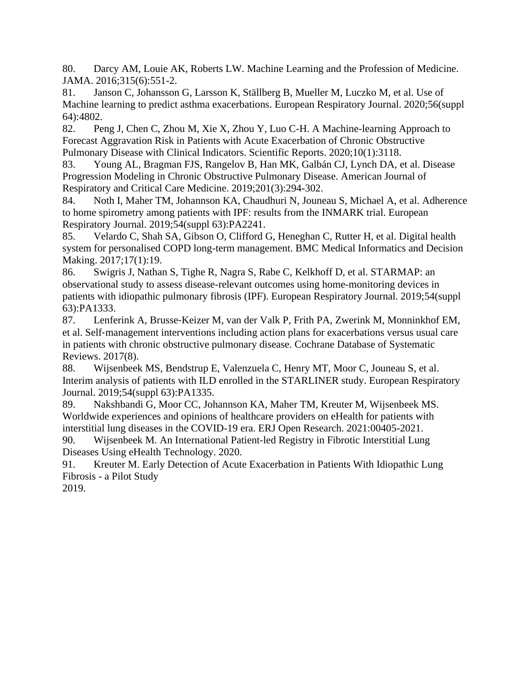80. Darcy AM, Louie AK, Roberts LW. Machine Learning and the Profession of Medicine. JAMA. 2016;315(6):551-2.

81. Janson C, Johansson G, Larsson K, Ställberg B, Mueller M, Luczko M, et al. Use of Machine learning to predict asthma exacerbations. European Respiratory Journal. 2020;56(suppl 64):4802.

82. Peng J, Chen C, Zhou M, Xie X, Zhou Y, Luo C-H. A Machine-learning Approach to Forecast Aggravation Risk in Patients with Acute Exacerbation of Chronic Obstructive Pulmonary Disease with Clinical Indicators. Scientific Reports. 2020;10(1):3118.

83. Young AL, Bragman FJS, Rangelov B, Han MK, Galbán CJ, Lynch DA, et al. Disease Progression Modeling in Chronic Obstructive Pulmonary Disease. American Journal of Respiratory and Critical Care Medicine. 2019;201(3):294-302.

84. Noth I, Maher TM, Johannson KA, Chaudhuri N, Jouneau S, Michael A, et al. Adherence to home spirometry among patients with IPF: results from the INMARK trial. European Respiratory Journal. 2019;54(suppl 63):PA2241.

85. Velardo C, Shah SA, Gibson O, Clifford G, Heneghan C, Rutter H, et al. Digital health system for personalised COPD long-term management. BMC Medical Informatics and Decision Making. 2017;17(1):19.

86. Swigris J, Nathan S, Tighe R, Nagra S, Rabe C, Kelkhoff D, et al. STARMAP: an observational study to assess disease-relevant outcomes using home-monitoring devices in patients with idiopathic pulmonary fibrosis (IPF). European Respiratory Journal. 2019;54(suppl 63):PA1333.

87. Lenferink A, Brusse‐Keizer M, van der Valk P, Frith PA, Zwerink M, Monninkhof EM, et al. Self‐management interventions including action plans for exacerbations versus usual care in patients with chronic obstructive pulmonary disease. Cochrane Database of Systematic Reviews. 2017(8).

88. Wijsenbeek MS, Bendstrup E, Valenzuela C, Henry MT, Moor C, Jouneau S, et al. Interim analysis of patients with ILD enrolled in the STARLINER study. European Respiratory Journal. 2019;54(suppl 63):PA1335.

89. Nakshbandi G, Moor CC, Johannson KA, Maher TM, Kreuter M, Wijsenbeek MS. Worldwide experiences and opinions of healthcare providers on eHealth for patients with interstitial lung diseases in the COVID-19 era. ERJ Open Research. 2021:00405-2021. 90. Wijsenbeek M. An International Patient-led Registry in Fibrotic Interstitial Lung Diseases Using eHealth Technology. 2020.

91. Kreuter M. Early Detection of Acute Exacerbation in Patients With Idiopathic Lung Fibrosis - a Pilot Study

2019.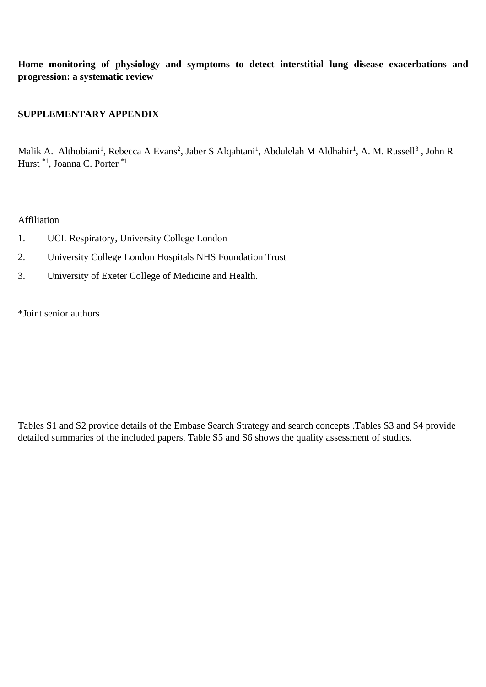**Home monitoring of physiology and symptoms to detect interstitial lung disease exacerbations and progression: a systematic review**

## **SUPPLEMENTARY APPENDIX**

Malik A. Althobiani<sup>1</sup>, Rebecca A Evans<sup>2</sup>, Jaber S Alqahtani<sup>1</sup>, Abdulelah M Aldhahir<sup>1</sup>, A. M. Russell<sup>3</sup>, John R Hurst \*1, Joanna C. Porter \*1

## Affiliation

- 1. UCL Respiratory, University College London
- 2. University College London Hospitals NHS Foundation Trust
- 3. University of Exeter College of Medicine and Health.

\*Joint senior authors

Tables S1 and S2 provide details of the Embase Search Strategy and search concepts .Tables S3 and S4 provide detailed summaries of the included papers. Table S5 and S6 shows the quality assessment of studies.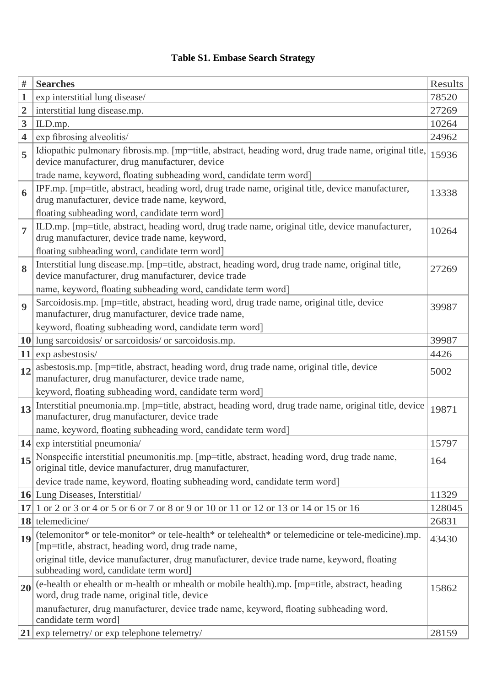## **Table S1. Embase Search Strategy**

| #              | <b>Searches</b>                                                                                                                                            | Results |
|----------------|------------------------------------------------------------------------------------------------------------------------------------------------------------|---------|
| 1              | exp interstitial lung disease/                                                                                                                             | 78520   |
| $\overline{2}$ | interstitial lung disease.mp.                                                                                                                              | 27269   |
| 3              | ILD.mp.                                                                                                                                                    | 10264   |
| 4              | exp fibrosing alveolitis/                                                                                                                                  | 24962   |
| 5              | Idiopathic pulmonary fibrosis.mp. [mp=title, abstract, heading word, drug trade name, original title,<br>device manufacturer, drug manufacturer, device    | 15936   |
|                | trade name, keyword, floating subheading word, candidate term word]                                                                                        |         |
| 6              | IPF.mp. [mp=title, abstract, heading word, drug trade name, original title, device manufacturer,<br>drug manufacturer, device trade name, keyword,         | 13338   |
|                | floating subheading word, candidate term word]                                                                                                             |         |
| 7              | ILD.mp. [mp=title, abstract, heading word, drug trade name, original title, device manufacturer,<br>drug manufacturer, device trade name, keyword,         | 10264   |
|                | floating subheading word, candidate term word]                                                                                                             |         |
| 8              | Interstitial lung disease.mp. [mp=title, abstract, heading word, drug trade name, original title,<br>device manufacturer, drug manufacturer, device trade  | 27269   |
|                | name, keyword, floating subheading word, candidate term word]                                                                                              |         |
| 9              | Sarcoidosis.mp. [mp=title, abstract, heading word, drug trade name, original title, device<br>manufacturer, drug manufacturer, device trade name,          | 39987   |
|                | keyword, floating subheading word, candidate term word]                                                                                                    |         |
| 10             | lung sarcoidosis/ or sarcoidosis/ or sarcoidosis.mp.                                                                                                       | 39987   |
| 11             | exp asbestosis/                                                                                                                                            | 4426    |
| 12             | asbestosis.mp. [mp=title, abstract, heading word, drug trade name, original title, device<br>manufacturer, drug manufacturer, device trade name,           | 5002    |
|                | keyword, floating subheading word, candidate term word]                                                                                                    |         |
| 13             | Interstitial pneumonia.mp. [mp=title, abstract, heading word, drug trade name, original title, device<br>manufacturer, drug manufacturer, device trade     | 19871   |
|                | name, keyword, floating subheading word, candidate term word]                                                                                              |         |
|                | $14$ exp interstitial pneumonia                                                                                                                            | 15797   |
| 15             | Nonspecific interstitial pneumonitis.mp. [mp=title, abstract, heading word, drug trade name,<br>original title, device manufacturer, drug manufacturer,    | 164     |
|                | device trade name, keyword, floating subheading word, candidate term word]                                                                                 |         |
|                | <b>16</b> Lung Diseases, Interstitial                                                                                                                      | 11329   |
| 17             | 1 or 2 or 3 or 4 or 5 or 6 or 7 or 8 or 9 or 10 or 11 or 12 or 13 or 14 or 15 or 16                                                                        | 128045  |
| 18             | telemedicine/                                                                                                                                              | 26831   |
| 19             | (telemonitor* or tele-monitor* or tele-health* or telehealth* or telemedicine or tele-medicine).mp.<br>[mp=title, abstract, heading word, drug trade name, | 43430   |
|                | original title, device manufacturer, drug manufacturer, device trade name, keyword, floating<br>subheading word, candidate term word]                      |         |
| 20             | (e-health or ehealth or m-health or mhealth or mobile health).mp. [mp=title, abstract, heading<br>word, drug trade name, original title, device            | 15862   |
|                | manufacturer, drug manufacturer, device trade name, keyword, floating subheading word,<br>candidate term word]                                             |         |
|                | $21$ exp telemetry/ or exp telephone telemetry/                                                                                                            | 28159   |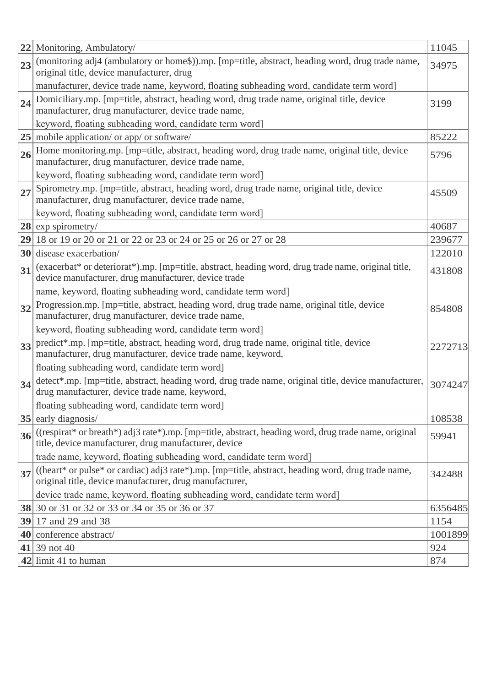| 22 | Monitoring, Ambulatory/                                                                                                                                | 11045   |
|----|--------------------------------------------------------------------------------------------------------------------------------------------------------|---------|
| 23 | (monitoring adj4 (ambulatory or home\$)).mp. [mp=title, abstract, heading word, drug trade name,                                                       | 34975   |
|    | original title, device manufacturer, drug                                                                                                              |         |
|    | manufacturer, device trade name, keyword, floating subheading word, candidate term word]                                                               |         |
| 24 | Domiciliary.mp. [mp=title, abstract, heading word, drug trade name, original title, device                                                             | 3199    |
|    | manufacturer, drug manufacturer, device trade name,                                                                                                    |         |
|    | keyword, floating subheading word, candidate term word]                                                                                                |         |
| 25 | mobile application/ or app/ or software/                                                                                                               | 85222   |
| 26 | Home monitoring.mp. [mp=title, abstract, heading word, drug trade name, original title, device                                                         | 5796    |
|    | manufacturer, drug manufacturer, device trade name,                                                                                                    |         |
|    | keyword, floating subheading word, candidate term word]                                                                                                |         |
| 27 | Spirometry.mp. [mp=title, abstract, heading word, drug trade name, original title, device<br>manufacturer, drug manufacturer, device trade name,       | 45509   |
|    | keyword, floating subheading word, candidate term word]                                                                                                |         |
|    | $28$ exp spirometry/                                                                                                                                   | 40687   |
| 29 | 18 or 19 or 20 or 21 or 22 or 23 or 24 or 25 or 26 or 27 or 28                                                                                         | 239677  |
| 30 | disease exacerbation/                                                                                                                                  | 122010  |
|    | (exacerbat* or deteriorat*).mp. [mp=title, abstract, heading word, drug trade name, original title,                                                    |         |
| 31 | device manufacturer, drug manufacturer, device trade                                                                                                   | 431808  |
|    | name, keyword, floating subheading word, candidate term word]                                                                                          |         |
| 32 | Progression.mp. [mp=title, abstract, heading word, drug trade name, original title, device                                                             | 854808  |
|    | manufacturer, drug manufacturer, device trade name,                                                                                                    |         |
|    | keyword, floating subheading word, candidate term word]                                                                                                |         |
| 33 | predict*.mp. [mp=title, abstract, heading word, drug trade name, original title, device                                                                | 2272713 |
|    | manufacturer, drug manufacturer, device trade name, keyword,                                                                                           |         |
|    | floating subheading word, candidate term word]<br>detect*.mp. [mp=title, abstract, heading word, drug trade name, original title, device manufacturer, |         |
| 34 | drug manufacturer, device trade name, keyword,                                                                                                         | 3074247 |
|    | floating subheading word, candidate term word]                                                                                                         |         |
| 35 | early diagnosis/                                                                                                                                       | 108538  |
| 36 | ((respirat* or breath*) adj3 rate*).mp. [mp=title, abstract, heading word, drug trade name, original                                                   | 59941   |
|    | title, device manufacturer, drug manufacturer, device                                                                                                  |         |
|    | trade name, keyword, floating subheading word, candidate term word]                                                                                    |         |
| 37 | ((heart* or pulse* or cardiac) adj3 rate*).mp. [mp=title, abstract, heading word, drug trade name,                                                     | 342488  |
|    | original title, device manufacturer, drug manufacturer,                                                                                                |         |
|    | device trade name, keyword, floating subheading word, candidate term word]                                                                             |         |
|    | <b>38</b> 30 or 31 or 32 or 33 or 34 or 35 or 36 or 37                                                                                                 | 6356485 |
|    | <b>39</b> 17 and 29 and 38                                                                                                                             | 1154    |
| 40 | conference abstract/                                                                                                                                   | 1001899 |
|    | 41 39 not 40                                                                                                                                           | 924     |
|    | $ 42 $ limit 41 to human                                                                                                                               | 874     |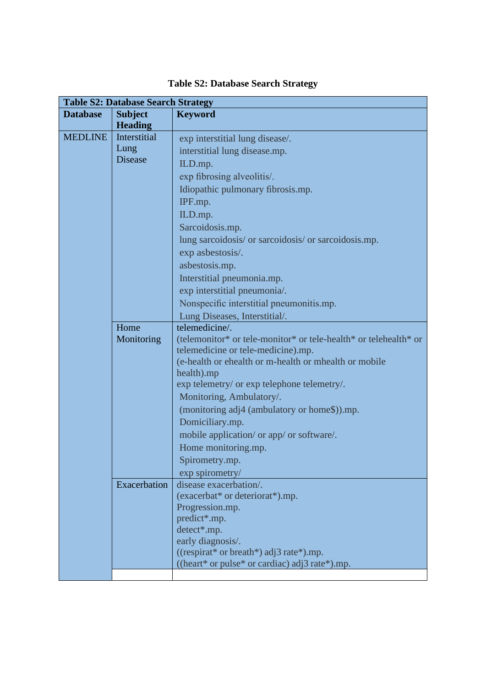|                 | <b>Table S2: Database Search Strategy</b> |                                                                         |
|-----------------|-------------------------------------------|-------------------------------------------------------------------------|
| <b>Database</b> | <b>Subject</b><br><b>Heading</b>          | <b>Keyword</b>                                                          |
| <b>MEDLINE</b>  | Interstitial                              | exp interstitial lung disease/.                                         |
|                 | Lung                                      | interstitial lung disease.mp.                                           |
|                 | <b>Disease</b>                            | ILD.mp.                                                                 |
|                 |                                           | exp fibrosing alveolitis/.                                              |
|                 |                                           | Idiopathic pulmonary fibrosis.mp.                                       |
|                 |                                           | IPF.mp.                                                                 |
|                 |                                           | ILD.mp.                                                                 |
|                 |                                           | Sarcoidosis.mp.                                                         |
|                 |                                           | lung sarcoidosis/ or sarcoidosis/ or sarcoidosis.mp.                    |
|                 |                                           | exp asbestosis/.                                                        |
|                 |                                           | asbestosis.mp.                                                          |
|                 |                                           | Interstitial pneumonia.mp.                                              |
|                 |                                           | exp interstitial pneumonia/.                                            |
|                 |                                           | Nonspecific interstitial pneumonitis.mp.                                |
|                 |                                           | Lung Diseases, Interstitial/.                                           |
|                 | Home                                      | telemedicine/.                                                          |
|                 | Monitoring                                | (telemonitor* or tele-monitor* or tele-health* or telehealth* or        |
|                 |                                           | telemedicine or tele-medicine).mp.                                      |
|                 |                                           | (e-health or ehealth or m-health or mhealth or mobile                   |
|                 |                                           | health).mp                                                              |
|                 |                                           | exp telemetry/ or exp telephone telemetry/.<br>Monitoring, Ambulatory/. |
|                 |                                           | (monitoring adj4 (ambulatory or home\$)).mp.                            |
|                 |                                           | Domiciliary.mp.                                                         |
|                 |                                           | mobile application/ or app/ or software/.                               |
|                 |                                           | Home monitoring.mp.                                                     |
|                 |                                           | Spirometry.mp.                                                          |
|                 |                                           | exp spirometry/                                                         |
|                 | Exacerbation                              | disease exacerbation/.                                                  |
|                 |                                           | (exacerbat* or deteriorat*).mp.                                         |
|                 |                                           | Progression.mp.                                                         |
|                 |                                           | predict*.mp.                                                            |
|                 |                                           | detect*.mp.                                                             |
|                 |                                           | early diagnosis/.                                                       |
|                 |                                           | ((respirat* or breath*) adj3 rate*).mp.                                 |
|                 |                                           | ((heart* or pulse* or cardiac) adj3 rate*).mp.                          |

## **Table S2: Database Search Strategy**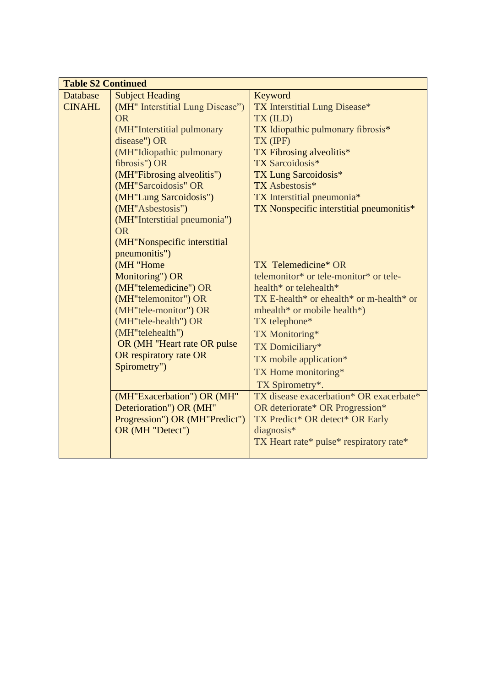| <b>Table S2 Continued</b> |                                  |                                             |  |  |
|---------------------------|----------------------------------|---------------------------------------------|--|--|
| Database                  | <b>Subject Heading</b>           | Keyword                                     |  |  |
| <b>CINAHL</b>             | (MH" Interstitial Lung Disease") | <b>TX</b> Interstitial Lung Disease*        |  |  |
|                           | <b>OR</b>                        | TX (ILD)                                    |  |  |
|                           | (MH"Interstitial pulmonary       | TX Idiopathic pulmonary fibrosis*           |  |  |
|                           | disease") OR                     | TX (IPF)                                    |  |  |
|                           | (MH"Idiopathic pulmonary         | TX Fibrosing alveolitis*                    |  |  |
|                           | fibrosis") OR                    | TX Sarcoidosis*                             |  |  |
|                           | (MH"Fibrosing alveolitis")       | <b>TX Lung Sarcoidosis*</b>                 |  |  |
|                           | (MH"Sarcoidosis" OR              | TX Asbestosis*                              |  |  |
|                           | (MH"Lung Sarcoidosis")           | TX Interstitial pneumonia*                  |  |  |
|                           | (MH"Asbestosis")                 | TX Nonspecific interstitial pneumonitis*    |  |  |
|                           | (MH"Interstitial pneumonia")     |                                             |  |  |
|                           | <b>OR</b>                        |                                             |  |  |
|                           | (MH"Nonspecific interstitial     |                                             |  |  |
|                           | pneumonitis")                    |                                             |  |  |
|                           | (MH "Home                        | TX Telemedicine* OR                         |  |  |
|                           | Monitoring") OR                  | telemonitor* or tele-monitor* or tele-      |  |  |
|                           | (MH"telemedicine") OR            | health* or telehealth*                      |  |  |
|                           | (MH"telemonitor") OR             | $TX E$ -health* or ehealth* or m-health* or |  |  |
|                           | (MH"tele-monitor") OR            | mhealth* or mobile health*)                 |  |  |
|                           | (MH"tele-health") OR             | TX telephone*                               |  |  |
|                           | (MH"telehealth")                 | TX Monitoring*                              |  |  |
|                           | OR (MH "Heart rate OR pulse      | TX Domiciliary*                             |  |  |
|                           | OR respiratory rate OR           | TX mobile application*                      |  |  |
|                           | Spirometry")                     | TX Home monitoring*                         |  |  |
|                           |                                  | TX Spirometry*.                             |  |  |
|                           | (MH"Exacerbation") OR (MH"       | TX disease exacerbation* OR exacerbate*     |  |  |
|                           | Deterioration") OR (MH"          | OR deteriorate* OR Progression*             |  |  |
|                           | Progression") OR (MH"Predict")   | TX Predict* OR detect* OR Early             |  |  |
|                           | OR (MH "Detect")                 | diagnosis*                                  |  |  |
|                           |                                  | TX Heart rate* pulse* respiratory rate*     |  |  |
|                           |                                  |                                             |  |  |